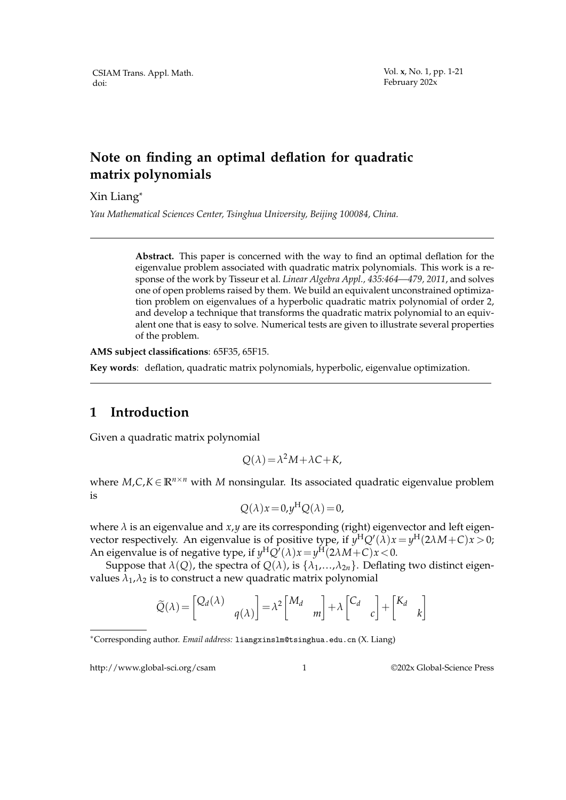## **Note on finding an optimal deflation for quadratic matrix polynomials**

Xin Liang\*

*Yau Mathematical Sciences Center, Tsinghua University, Beijing 100084, China.*

**Abstract.** This paper is concerned with the way to find an optimal deflation for the eigenvalue problem associated with quadratic matrix polynomials. This work is a response of the work by Tisseur et al. *Linear Algebra Appl., 435:464—479, 2011*, and solves one of open problems raised by them. We build an equivalent unconstrained optimization problem on eigenvalues of a hyperbolic quadratic matrix polynomial of order 2, and develop a technique that transforms the quadratic matrix polynomial to an equivalent one that is easy to solve. Numerical tests are given to illustrate several properties of the problem.

**AMS subject classifications**: 65F35, 65F15.

**Key words**: deflation, quadratic matrix polynomials, hyperbolic, eigenvalue optimization.

### **1 Introduction**

Given a quadratic matrix polynomial

$$
Q(\lambda) = \lambda^2 M + \lambda C + K,
$$

where  $M$ , $C$ , $K \in \mathbb{R}^{n \times n}$  with  $M$  nonsingular. Its associated quadratic eigenvalue problem is

$$
Q(\lambda)x = 0, y^{\mathrm{H}}Q(\lambda) = 0,
$$

where  $\lambda$  is an eigenvalue and  $x, y$  are its corresponding (right) eigenvector and left eigenvector respectively. An eigenvalue is of positive type, if  $y^H Q'(\lambda)x = y^H(2\lambda M + C)x > 0$ ; An eigenvalue is of negative type, if  $y^H Q^{\prime}(\lambda) x = y^H (2\lambda M + C) x < 0$ .

Suppose that  $\lambda(Q)$ , the spectra of  $Q(\lambda)$ , is  $\{\lambda_1, ..., \lambda_{2n}\}\)$ . Deflating two distinct eigenvalues  $\lambda_1$ ,  $\lambda_2$  is to construct a new quadratic matrix polynomial

$$
\widetilde{Q}(\lambda) = \begin{bmatrix} Q_d(\lambda) & 0 \\ 0 & q(\lambda) \end{bmatrix} = \lambda^2 \begin{bmatrix} M_d & 0 \\ 0 & m \end{bmatrix} + \lambda \begin{bmatrix} C_d & 0 \\ 0 & c \end{bmatrix} + \begin{bmatrix} K_d & 0 \\ 0 & k \end{bmatrix}
$$

http://www.global-sci.org/csam 1 ©202x Global-Science Press

<sup>∗</sup>Corresponding author. *Email address:* liangxinslm@tsinghua.edu.cn (X. Liang)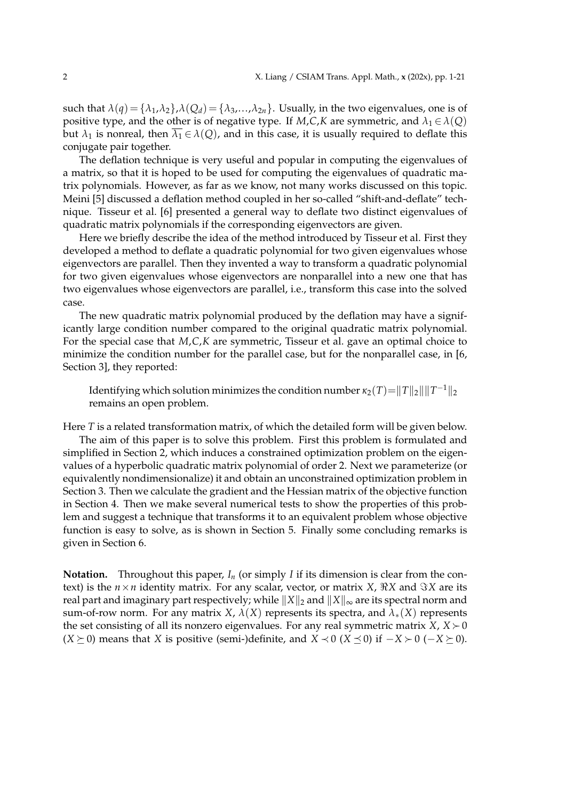such that  $\lambda(q) = {\lambda_1, \lambda_2}$ ,  $\lambda(Q_d) = {\lambda_3, \ldots, \lambda_{2n}}$ . Usually, in the two eigenvalues, one is of positive type, and the other is of negative type. If *M*,*C*,*K* are symmetric, and  $\lambda_1 \in \lambda(Q)$ but  $\lambda_1$  is nonreal, then  $\overline{\lambda_1} \in \lambda(Q)$ , and in this case, it is usually required to deflate this conjugate pair together.

The deflation technique is very useful and popular in computing the eigenvalues of a matrix, so that it is hoped to be used for computing the eigenvalues of quadratic matrix polynomials. However, as far as we know, not many works discussed on this topic. Meini [5] discussed a deflation method coupled in her so-called "shift-and-deflate" technique. Tisseur et al. [6] presented a general way to deflate two distinct eigenvalues of quadratic matrix polynomials if the corresponding eigenvectors are given.

Here we briefly describe the idea of the method introduced by Tisseur et al. First they developed a method to deflate a quadratic polynomial for two given eigenvalues whose eigenvectors are parallel. Then they invented a way to transform a quadratic polynomial for two given eigenvalues whose eigenvectors are nonparallel into a new one that has two eigenvalues whose eigenvectors are parallel, i.e., transform this case into the solved case.

The new quadratic matrix polynomial produced by the deflation may have a significantly large condition number compared to the original quadratic matrix polynomial. For the special case that *M*,*C*,*K* are symmetric, Tisseur et al. gave an optimal choice to minimize the condition number for the parallel case, but for the nonparallel case, in [6, Section 3], they reported:

Identifying which solution minimizes the condition number  $\kappa_2(T) {=} \|T\|_2 \|\|T^{-1}\|_2$ remains an open problem.

Here *T* is a related transformation matrix, of which the detailed form will be given below.

The aim of this paper is to solve this problem. First this problem is formulated and simplified in Section 2, which induces a constrained optimization problem on the eigenvalues of a hyperbolic quadratic matrix polynomial of order 2. Next we parameterize (or equivalently nondimensionalize) it and obtain an unconstrained optimization problem in Section 3. Then we calculate the gradient and the Hessian matrix of the objective function in Section 4. Then we make several numerical tests to show the properties of this problem and suggest a technique that transforms it to an equivalent problem whose objective function is easy to solve, as is shown in Section 5. Finally some concluding remarks is given in Section 6.

**Notation.** Throughout this paper,  $I_n$  (or simply *I* if its dimension is clear from the context) is the  $n \times n$  identity matrix. For any scalar, vector, or matrix *X*,  $\Re X$  and  $\Im X$  are its real part and imaginary part respectively; while  $||X||_2$  and  $||X||_{\infty}$  are its spectral norm and sum-of-row norm. For any matrix *X*,  $\lambda$ (*X*) represents its spectra, and  $\lambda$ <sub>\*</sub>(*X*) represents the set consisting of all its nonzero eigenvalues. For any real symmetric matrix *X*,  $X \succ 0$  $(X \succeq 0)$  means that *X* is positive (semi-)definite, and  $X \prec 0$  ( $X \preceq 0$ ) if  $-X \succ 0$  ( $-X \succeq 0$ ).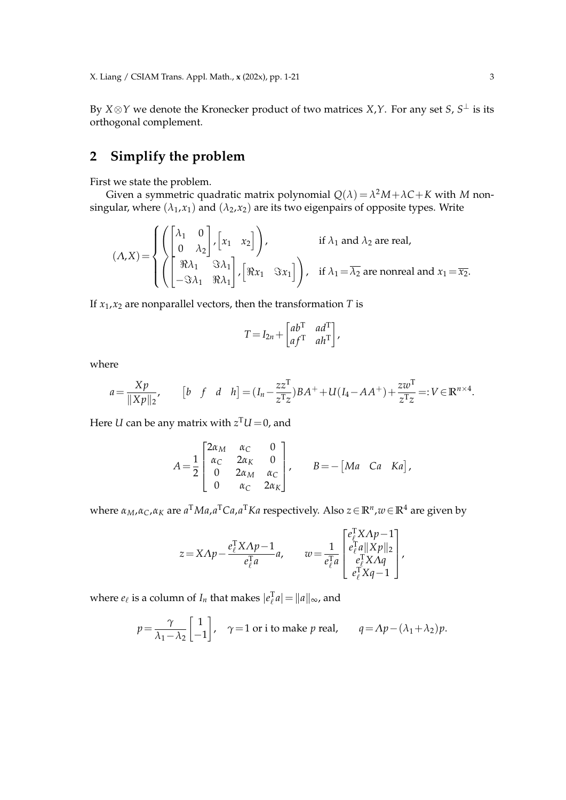By *X*⊗*Y* we denote the Kronecker product of two matrices *X*,*Y*. For any set *S*, *S* <sup>⊥</sup> is its orthogonal complement.

# **2 Simplify the problem**

First we state the problem.

Given a symmetric quadratic matrix polynomial  $Q(\lambda) = \lambda^2 M + \lambda C + K$  with M nonsingular, where  $(\lambda_1, x_1)$  and  $(\lambda_2, x_2)$  are its two eigenpairs of opposite types. Write

$$
(\Lambda, X) = \begin{cases} \begin{pmatrix} \lambda_1 & 0 \\ 0 & \lambda_2 \end{pmatrix}, \begin{bmatrix} x_1 & x_2 \end{bmatrix} \end{cases}, \quad \text{if } \lambda_1 \text{ and } \lambda_2 \text{ are real,} \\ \begin{pmatrix} \Re \lambda_1 & \Im \lambda_1 \\ -\Im \lambda_1 & \Re \lambda_1 \end{pmatrix}, \begin{bmatrix} \Re x_1 & \Im x_1 \end{bmatrix} \end{cases}, \quad \text{if } \lambda_1 = \overline{\lambda_2} \text{ are nonreal and } x_1 = \overline{x_2}. \end{cases}
$$

If  $x_1, x_2$  are nonparallel vectors, then the transformation *T* is

$$
T = I_{2n} + \begin{bmatrix} ab^{\mathrm{T}} & ad^{\mathrm{T}} \\ af^{\mathrm{T}} & ah^{\mathrm{T}} \end{bmatrix},
$$

where

$$
a = \frac{Xp}{\|Xp\|_2}, \qquad [b \quad f \quad d \quad h] = (I_n - \frac{zz^T}{z^Tz})BA^+ + U(I_4 - AA^+) + \frac{zw^T}{z^Tz} =: V \in \mathbb{R}^{n \times 4}.
$$

Here  $U$  can be any matrix with  $z^{\mathrm{T}}U\!=\!0$ , and

$$
A = \frac{1}{2} \begin{bmatrix} 2\alpha_M & \alpha_C & 0 \\ \alpha_C & 2\alpha_K & 0 \\ 0 & 2\alpha_M & \alpha_C \\ 0 & \alpha_C & 2\alpha_K \end{bmatrix}, \qquad B = -\begin{bmatrix} Ma & Ca & Ka \end{bmatrix},
$$

where *αM*,*αC*,*α<sup>K</sup>* are *a* <sup>T</sup>*Ma*,*a* <sup>T</sup>*Ca*,*a* <sup>T</sup>*Ka* respectively. Also *z*∈**R***<sup>n</sup>* ,*w*∈**R**<sup>4</sup> are given by

$$
z = X \Lambda p - \frac{e_{\ell}^{\mathsf{T}} X \Lambda p - 1}{e_{\ell}^{\mathsf{T}} a}, \qquad w = \frac{1}{e_{\ell}^{\mathsf{T}} a} \begin{bmatrix} e_{\ell}^{\mathsf{T}} X \Lambda p - 1 \\ e_{\ell}^{\mathsf{T}} a \|X p\|_2 \\ e_{\ell}^{\mathsf{T}} X \Lambda q \\ e_{\ell}^{\mathsf{T}} X q - 1 \end{bmatrix},
$$

where  $e_{\ell}$  is a column of  $I_n$  that makes  $|e_{\ell}^T a| = ||a||_{\infty}$ , and

$$
p = \frac{\gamma}{\lambda_1 - \lambda_2} \begin{bmatrix} 1 \\ -1 \end{bmatrix}, \quad \gamma = 1 \text{ or i to make } p \text{ real}, \qquad q = \Lambda p - (\lambda_1 + \lambda_2) p.
$$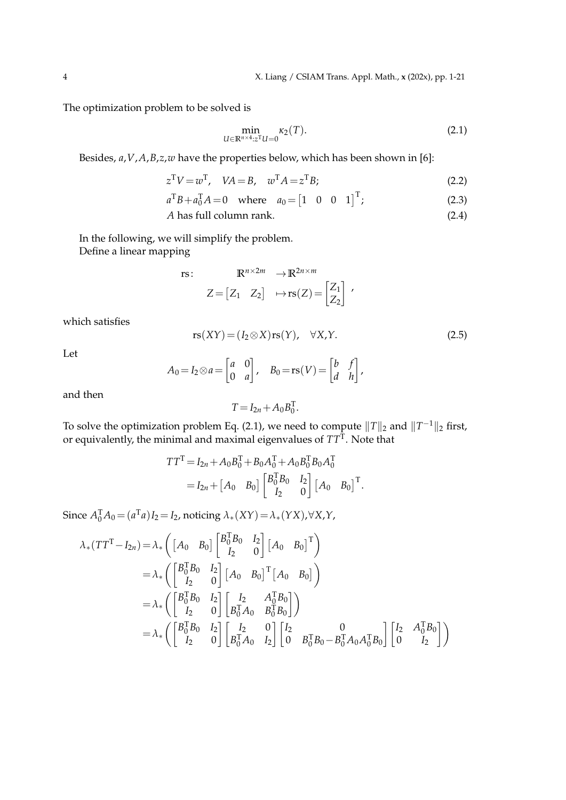The optimization problem to be solved is

$$
\min_{U \in \mathbb{R}^{n \times 4}:z^{\mathrm{T}}U = 0} \kappa_2(T). \tag{2.1}
$$

Besides, *a*,*V*,*A*,*B*,*z*,*w* have the properties below, which has been shown in [6]:

$$
z^{\mathrm{T}}V = w^{\mathrm{T}}, \quad VA = B, \quad w^{\mathrm{T}}A = z^{\mathrm{T}}B; \tag{2.2}
$$

 $a^{\text{T}}B + a_0^{\text{T}}A = 0$  where  $a_0 = \begin{bmatrix} 1 & 0 & 0 & 1 \end{bmatrix}^{\text{T}}$  $(2.3)$ 

$$
A \text{ has full column rank.} \tag{2.4}
$$

In the following, we will simplify the problem. Define a linear mapping

rs: 
$$
\mathbb{R}^{n \times 2m} \to \mathbb{R}^{2n \times m}
$$
  

$$
Z = [Z_1 \quad Z_2] \quad \mapsto \text{rs}(Z) = \begin{bmatrix} Z_1 \\ Z_2 \end{bmatrix} ,
$$

which satisfies

$$
rs(XY) = (I_2 \otimes X)rs(Y), \quad \forall X, Y.
$$
 (2.5)

Let

$$
A_0 = I_2 \otimes a = \begin{bmatrix} a & 0 \\ 0 & a \end{bmatrix}, \quad B_0 = \text{rs}(V) = \begin{bmatrix} b & f \\ d & h \end{bmatrix},
$$

and then

$$
T = I_{2n} + A_0 B_0^{\mathrm{T}}.
$$

To solve the optimization problem Eq. (2.1), we need to compute  $\|T\|_2$  and  $\|T^{-1}\|_2$  first, or equivalently, the minimal and maximal eigenvalues of *TT*<sup>T</sup> . Note that

$$
TT^{T} = I_{2n} + A_0 B_0^{T} + B_0 A_0^{T} + A_0 B_0^{T} B_0 A_0^{T}
$$
  
=  $I_{2n} + [A_0 \ B_0] \begin{bmatrix} B_0^{T} B_0 & I_2 \\ I_2 & 0 \end{bmatrix} [A_0 \ B_0]^{T}.$ 

Since  $A_0^T A_0 = (a^T a)I_2 = I_2$ , noticing  $\lambda_*(XY) = \lambda_*(YX)$ , $\forall X, Y$ ,

$$
\lambda_{*}(TT^{T}-I_{2n}) = \lambda_{*} \left( \begin{bmatrix} A_{0} & B_{0} \end{bmatrix} \begin{bmatrix} B_{0}^{T}B_{0} & I_{2} \\ I_{2} & 0 \end{bmatrix} \begin{bmatrix} A_{0} & B_{0} \end{bmatrix}^{T} \right)
$$
  
\n
$$
= \lambda_{*} \left( \begin{bmatrix} B_{0}^{T}B_{0} & I_{2} \\ I_{2} & 0 \end{bmatrix} \begin{bmatrix} A_{0} & B_{0} \end{bmatrix}^{T} \begin{bmatrix} A_{0} & B_{0} \end{bmatrix} \right)
$$
  
\n
$$
= \lambda_{*} \left( \begin{bmatrix} B_{0}^{T}B_{0} & I_{2} \\ I_{2} & 0 \end{bmatrix} \begin{bmatrix} I_{2} & A_{0}^{T}B_{0} \\ B_{0}^{T}A_{0} & B_{0}^{T}B_{0} \end{bmatrix} \right)
$$
  
\n
$$
= \lambda_{*} \left( \begin{bmatrix} B_{0}^{T}B_{0} & I_{2} \\ I_{2} & 0 \end{bmatrix} \begin{bmatrix} I_{2} & 0 \\ B_{0}^{T}A_{0} & I_{2} \end{bmatrix} \begin{bmatrix} I_{2} & 0 \\ 0 & B_{0}^{T}B_{0} - B_{0}^{T}A_{0}A_{0}^{T}B_{0} \end{bmatrix} \begin{bmatrix} I_{2} & A_{0}^{T}B_{0} \\ 0 & I_{2} \end{bmatrix} \right)
$$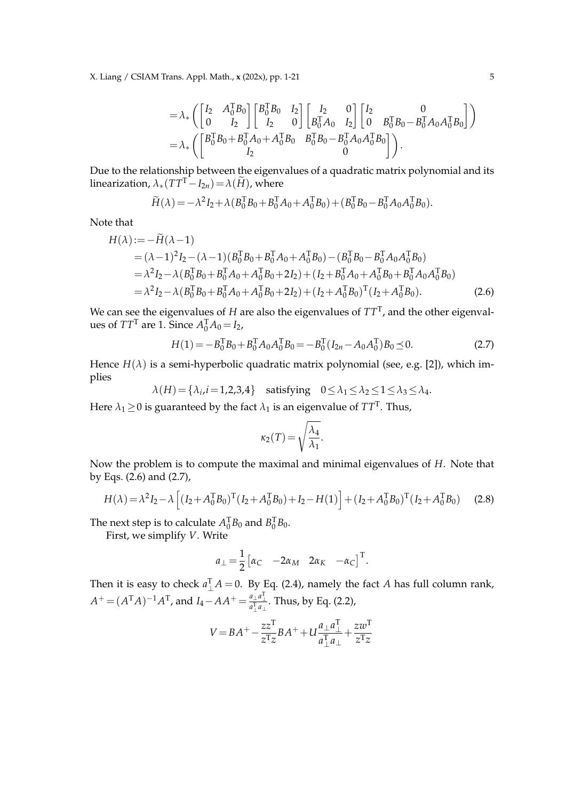X. Liang / CSIAM Trans. Appl. Math., **x** (202x), pp. 1-21 5

$$
= \lambda_* \left( \begin{bmatrix} I_2 & A_0^{\mathsf{T}} B_0 \\ 0 & I_2 \end{bmatrix} \begin{bmatrix} B_0^{\mathsf{T}} B_0 & I_2 \\ I_2 & 0 \end{bmatrix} \begin{bmatrix} I_2 & 0 \\ B_0^{\mathsf{T}} A_0 & I_2 \end{bmatrix} \begin{bmatrix} I_2 & 0 \\ 0 & B_0^{\mathsf{T}} B_0 - B_0^{\mathsf{T}} A_0 A_0^{\mathsf{T}} B_0 \end{bmatrix} \right) = \lambda_* \left( \begin{bmatrix} B_0^{\mathsf{T}} B_0 + B_0^{\mathsf{T}} A_0 + A_0^{\mathsf{T}} B_0 & B_0^{\mathsf{T}} B_0 - B_0^{\mathsf{T}} A_0 A_0^{\mathsf{T}} B_0 \end{bmatrix} \right).
$$

Due to the relationship between the eigenvalues of a quadratic matrix polynomial and its linearization,  $\lambda_*(TT^T-I_{2n}) = \lambda(\widetilde{H})$ , where

$$
\widetilde{H}(\lambda) = -\lambda^2 I_2 + \lambda (B_0^{\mathrm{T}} B_0 + B_0^{\mathrm{T}} A_0 + A_0^{\mathrm{T}} B_0) + (B_0^{\mathrm{T}} B_0 - B_0^{\mathrm{T}} A_0 A_0^{\mathrm{T}} B_0).
$$

Note that

$$
H(\lambda) := -H(\lambda - 1)
$$
  
=  $(\lambda - 1)^2 I_2 - (\lambda - 1)(B_0^T B_0 + B_0^T A_0 + A_0^T B_0) - (B_0^T B_0 - B_0^T A_0 A_0^T B_0)$   
=  $\lambda^2 I_2 - \lambda (B_0^T B_0 + B_0^T A_0 + A_0^T B_0 + 2I_2) + (I_2 + B_0^T A_0 + A_0^T B_0 + B_0^T A_0 A_0^T B_0)$   
=  $\lambda^2 I_2 - \lambda (B_0^T B_0 + B_0^T A_0 + A_0^T B_0 + 2I_2) + (I_2 + A_0^T B_0)^T (I_2 + A_0^T B_0).$  (2.6)

We can see the eigenvalues of *H* are also the eigenvalues of *TT*<sup>T</sup> , and the other eigenvalues of  $TT^T$  are 1. Since  $A_0^T A_0 = I_2$ ,

$$
H(1) = -B_0^{\mathrm{T}} B_0 + B_0^{\mathrm{T}} A_0 A_0^{\mathrm{T}} B_0 = -B_0^{\mathrm{T}} (I_{2n} - A_0 A_0^{\mathrm{T}}) B_0 \le 0.
$$
 (2.7)

.

Hence  $H(\lambda)$  is a semi-hyperbolic quadratic matrix polynomial (see, e.g. [2]), which implies

$$
\lambda(H) = \{\lambda_i, i = 1, 2, 3, 4\} \quad \text{satisfying} \quad 0 \le \lambda_1 \le \lambda_2 \le 1 \le \lambda_3 \le \lambda_4.
$$

Here  $\lambda_1\!\ge\! 0$  is guaranteed by the fact  $\lambda_1$  is an eigenvalue of  $TT^\text{T}.$  Thus,

$$
\kappa_2(T) = \sqrt{\frac{\lambda_4}{\lambda_1}}
$$

Now the problem is to compute the maximal and minimal eigenvalues of *H*. Note that by Eqs. (2.6) and (2.7),

$$
H(\lambda) = \lambda^2 I_2 - \lambda \left[ (I_2 + A_0^{\mathrm{T}} B_0)^{\mathrm{T}} (I_2 + A_0^{\mathrm{T}} B_0) + I_2 - H(1) \right] + (I_2 + A_0^{\mathrm{T}} B_0)^{\mathrm{T}} (I_2 + A_0^{\mathrm{T}} B_0)
$$
 (2.8)

The next step is to calculate  $A_0^{\text{T}}B_0$  and  $B_0^{\text{T}}B_0$ .

First, we simplify *V*. Write

$$
a_{\perp} = \frac{1}{2} \begin{bmatrix} \alpha_C & -2\alpha_M & 2\alpha_K & -\alpha_C \end{bmatrix}^\mathrm{T}.
$$

Then it is easy to check  $a_{\perp}^{T}A = 0$ . By Eq. (2.4), namely the fact *A* has full column rank,  $A^+ = (A^TA)^{-1}A^T$ , and  $I_4 - AA^+ = \frac{a_\perp a_\perp^T}{a_\perp^T a_\perp}$ . Thus, by Eq. (2.2),

$$
V = BA^{+} - \frac{zz^{T}}{z^{T}z}BA^{+} + U\frac{a_{\perp}a_{\perp}^{T}}{a_{\perp}^{T}a_{\perp}} + \frac{zw^{T}}{z^{T}z}
$$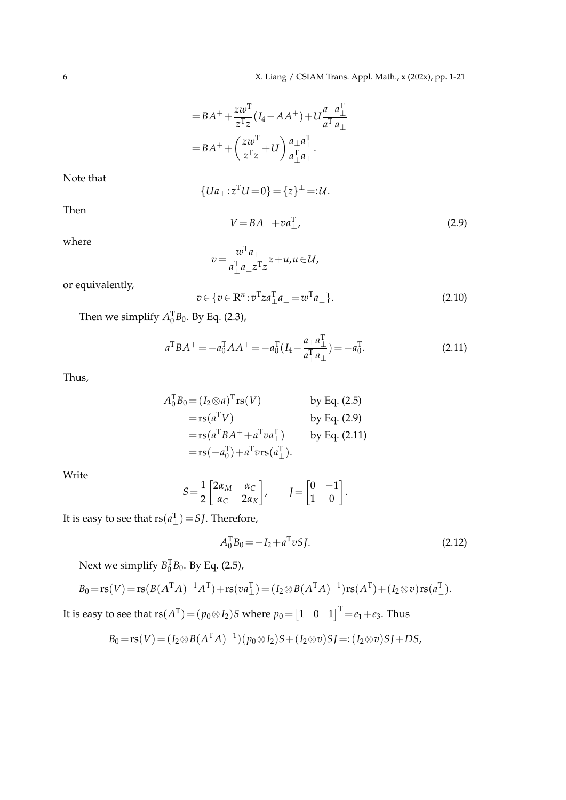$$
=BA^{+}+\frac{zw^{T}}{z^{T}z}(I_{4}-AA^{+})+U\frac{a_{\perp}a_{\perp}^{T}}{a_{\perp}^{T}a_{\perp}}
$$

$$
=BA^{+}+\left(\frac{zw^{T}}{z^{T}z}+U\right)\frac{a_{\perp}a_{\perp}^{T}}{a_{\perp}^{T}a_{\perp}}.
$$

Note that

$$
{Ua_{\perp}:z^{\mathrm{T}}U=0}={z}^{\perp}=:\mathcal{U}.
$$

Then

$$
V = BA^{+} + va_{\perp}^{T}, \qquad (2.9)
$$

where

$$
v = \frac{w^{\mathrm{T}} a_{\perp}}{a_{\perp}^{\mathrm{T}} a_{\perp} z^{\mathrm{T}} z} z + u, u \in \mathcal{U},
$$

or equivalently,

$$
v \in \{v \in \mathbb{R}^n : v^{\mathrm{T}}za_{\perp}^{\mathrm{T}}a_{\perp} = w^{\mathrm{T}}a_{\perp}\}.
$$
\n(2.10)

Then we simplify  $A_0^{\text{T}}B_0$ . By Eq. (2.3),

$$
a^{T}BA^{+} = -a_{0}^{T}AA^{+} = -a_{0}^{T}(I_{4} - \frac{a_{\perp}a_{\perp}^{T}}{a_{\perp}^{T}a_{\perp}}) = -a_{0}^{T}.
$$
\n(2.11)

Thus,

$$
A_0^{\text{T}} B_0 = (I_2 \otimes a)^{\text{T}} \text{rs}(V) \qquad \text{by Eq. (2.5)}
$$
  
=  $\text{rs}(a^{\text{T}} V) \qquad \text{by Eq. (2.9)}$   
=  $\text{rs}(a^{\text{T}} B A^+ + a^{\text{T}} v a_\perp^{\text{T}}) \qquad \text{by Eq. (2.11)}$   
=  $\text{rs}(-a_0^{\text{T}}) + a^{\text{T}} v \text{rs}(a_\perp^{\text{T}}).$ 

Write

$$
S = \frac{1}{2} \begin{bmatrix} 2\alpha_M & \alpha_C \\ \alpha_C & 2\alpha_K \end{bmatrix}, \qquad J = \begin{bmatrix} 0 & -1 \\ 1 & 0 \end{bmatrix}.
$$

It is easy to see that  $rs(a_\perp^T) = SJ$ . Therefore,

$$
A_0^{\rm T} B_0 = -I_2 + a^{\rm T} v S J. \tag{2.12}
$$

Next we simplify  $B_0^{\text{T}}B_0$ . By Eq. (2.5),

$$
B_0 = rs(V) = rs(B(A^TA)^{-1}A^T) + rs(va_{\perp}^T) = (I_2 \otimes B(A^TA)^{-1})rs(A^T) + (I_2 \otimes v)rs(a_{\perp}^T).
$$

It is easy to see that  $\mathop{\rm rs}\nolimits(A^{\rm T})\!=\!(p_0\!\otimes\! I_2)S$  where  $p_0\!=\!\begin{bmatrix}1 & 0 & 1\end{bmatrix}^{\rm T}\!=\!e_1\!+\!e_3.$  Thus

$$
B_0 = rs(V) = (I_2 \otimes B(A^{T} A)^{-1})(p_0 \otimes I_2)S + (I_2 \otimes v)SJ =:(I_2 \otimes v)SJ + DS,
$$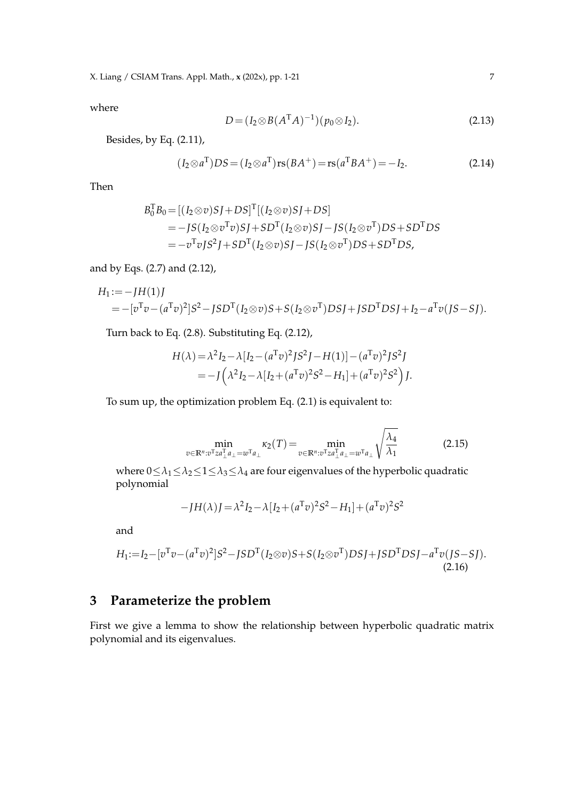X. Liang / CSIAM Trans. Appl. Math., **x** (202x), pp. 1-21 7

where

$$
D = (I_2 \otimes B(A^{\mathrm{T}}A)^{-1})(p_0 \otimes I_2). \tag{2.13}
$$

Besides, by Eq. (2.11),

$$
(I_2 \otimes a^{\mathrm{T}})DS = (I_2 \otimes a^{\mathrm{T}})rs(BA^+) = rs(a^{\mathrm{T}}BA^+) = -I_2.
$$
 (2.14)

Then

$$
B_0^{\text{T}}B_0 = [(I_2 \otimes v)SJ + DS]^{\text{T}}[(I_2 \otimes v)SJ + DS]
$$
  
= -JS(I\_2 \otimes v^{\text{T}}v)SJ + SD^{\text{T}}(I\_2 \otimes v)SJ - JS(I\_2 \otimes v^{\text{T}})DS + SD^{\text{T}}DS  
= -v^{\text{T}}vJS^2J + SD^{\text{T}}(I\_2 \otimes v)SJ - JS(I\_2 \otimes v^{\text{T}})DS + SD^{\text{T}}DS,

and by Eqs. (2.7) and (2.12),

$$
H_1 := -JH(1)J
$$
  
= -[ $v^T v - (a^T v)^2$ ]  $S^2 - JSD^T (I_2 \otimes v)S + S (I_2 \otimes v^T)DSJ + JSD^TDSJ + I_2 - a^T v (JS - SJ).$ 

Turn back to Eq. (2.8). Substituting Eq. (2.12),

$$
H(\lambda) = \lambda^2 I_2 - \lambda [I_2 - (a^T v)^2 J S^2 J - H(1)] - (a^T v)^2 J S^2 J
$$
  
= 
$$
-J(\lambda^2 I_2 - \lambda [I_2 + (a^T v)^2 S^2 - H_1] + (a^T v)^2 S^2) J.
$$

To sum up, the optimization problem Eq. (2.1) is equivalent to:

$$
\min_{v \in \mathbb{R}^n : v^{\mathrm{T}} z a_{\perp}^{\mathrm{T}} a_{\perp} = w^{\mathrm{T}} a_{\perp}} \kappa_2(T) = \min_{v \in \mathbb{R}^n : v^{\mathrm{T}} z a_{\perp}^{\mathrm{T}} a_{\perp} = w^{\mathrm{T}} a_{\perp}} \sqrt{\frac{\lambda_4}{\lambda_1}}
$$
(2.15)

where  $0 \leq \lambda_1 \leq \lambda_2 \leq 1 \leq \lambda_3 \leq \lambda_4$  are four eigenvalues of the hyperbolic quadratic polynomial

$$
-JH(\lambda)J = \lambda^{2}I_{2} - \lambda[I_{2} + (a^{T}v)^{2}S^{2} - H_{1}] + (a^{T}v)^{2}S^{2}
$$

and

$$
H_1 := I_2 - [v^T v - (a^T v)^2] S^2 - J S D^T (I_2 \otimes v) S + S (I_2 \otimes v^T) D S J + J S D^T D S J - a^T v (J S - S J).
$$
\n(2.16)

## **3 Parameterize the problem**

First we give a lemma to show the relationship between hyperbolic quadratic matrix polynomial and its eigenvalues.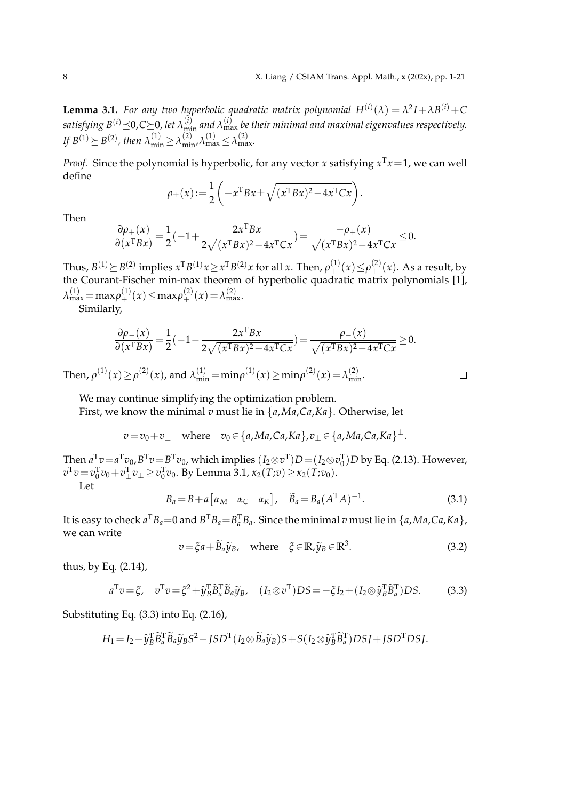$\Box$ 

**Lemma 3.1.** For any two hyperbolic quadratic matrix polynomial  $H^{(i)}(\lambda) = \lambda^2 I + \lambda B^{(i)} + C$ satisfying  $B^{(i)}$   $\preceq$  0, C  $\succeq$  0, let  $\lambda_{\min}^{(i)}$  and  $\lambda_{\max}^{(i)}$  be their minimal and maximal eigenvalues respectively. *If*  $B^{(1)} \succeq B^{(2)}$ , then  $\lambda_{\min}^{(1)} \ge \lambda_{\min}^{(2)}$ ,  $\lambda_{\max}^{(1)} \le \lambda_{\max}^{(2)}$ .

*Proof.* Since the polynomial is hyperbolic, for any vector *x* satisfying  $x^Tx = 1$ , we can well define

$$
\rho_{\pm}(x) := \frac{1}{2} \left( -x^{\mathrm{T}} B x \pm \sqrt{(x^{\mathrm{T}} B x)^2 - 4x^{\mathrm{T}} C x} \right).
$$

Then

$$
\frac{\partial \rho_+(x)}{\partial (x^{\mathrm{T}} B x)} = \frac{1}{2} (-1 + \frac{2x^{\mathrm{T}} B x}{2\sqrt{(x^{\mathrm{T}} B x)^2 - 4x^{\mathrm{T}} C x}}) = \frac{-\rho_+(x)}{\sqrt{(x^{\mathrm{T}} B x)^2 - 4x^{\mathrm{T}} C x}} \le 0.
$$

Thus,  $B^{(1)} \succeq B^{(2)}$  implies  $x^T B^{(1)} x \geq x^T B^{(2)} x$  for all  $x$ . Then,  $\rho_+^{(1)}(x) \leq \rho_+^{(2)}(x)$ . As a result, by the Courant-Fischer min-max theorem of hyperbolic quadratic matrix polynomials [1],  $\lambda_{\max}^{(1)} = \max \rho_+^{(1)}(x) \leq \max \rho_+^{(2)}(x) = \lambda_{\max}^{(2)}$ .

Similarly,

$$
\frac{\partial \rho_{-}(x)}{\partial (x^{\mathrm{T}} B x)} = \frac{1}{2} (-1 - \frac{2x^{\mathrm{T}} B x}{2\sqrt{(x^{\mathrm{T}} B x)^2 - 4x^{\mathrm{T}} C x}}) = \frac{\rho_{-}(x)}{\sqrt{(x^{\mathrm{T}} B x)^2 - 4x^{\mathrm{T}} C x}} \ge 0.
$$

Then,  $\rho_{-}^{(1)}(x) \ge \rho_{-}^{(2)}(x)$ , and  $\lambda_{\min}^{(1)} = \min \rho_{-}^{(1)}(x) \ge \min \rho_{-}^{(2)}(x) = \lambda_{\min}^{(2)}$ .

We may continue simplifying the optimization problem.

First, we know the minimal *v* must lie in {*a*,*Ma*,*Ca*,*Ka*}. Otherwise, let

$$
v = v_0 + v_\perp \quad \text{where} \quad v_0 \in \{a, Ma, Ca, Ka\}, v_\perp \in \{a, Ma, Ca, Ka\}^\perp.
$$

Then  $a^Tv=a^Tv_0$ ,  $B^Tv=B^Tv_0$ , which implies  $(I_2\otimes v^T)D=(I_2\otimes v_0^T)D$  by Eq. (2.13). However,  $v^T v = v_0^T v_0 + v_\perp^T v_\perp ≥ v_0^T v_0$ . By Lemma 3.1, *κ*<sub>2</sub>(*T*;*v*)≥*κ*<sub>2</sub>(*T*;*v*<sub>0</sub>).

Let

$$
B_a = B + a \begin{bmatrix} \alpha_M & \alpha_C & \alpha_K \end{bmatrix}, \quad \widetilde{B}_a = B_a (A^T A)^{-1}.
$$
 (3.1)

It is easy to check  $a^T B_a = 0$  and  $B^T B_a = B_a^T B_a$ . Since the minimal  $v$  must lie in  $\{a, Ma, Ca, Ka\}$ , we can write

$$
v = \xi a + \widetilde{B}_a \widetilde{y}_B, \quad \text{where} \quad \xi \in \mathbb{R}, \widetilde{y}_B \in \mathbb{R}^3. \tag{3.2}
$$

thus, by Eq. (2.14),

$$
a^{\mathrm{T}}v = \xi, \quad v^{\mathrm{T}}v = \xi^2 + \widetilde{y}_B^{\mathrm{T}}\widetilde{B}_a^{\mathrm{T}}\widetilde{B}_a\widetilde{y}_B, \quad (I_2 \otimes v^{\mathrm{T}})DS = -\xi I_2 + (I_2 \otimes \widetilde{y}_B^{\mathrm{T}}\widetilde{B}_a^{\mathrm{T}})DS. \tag{3.3}
$$

Substituting Eq. (3.3) into Eq. (2.16),

$$
H_1 = I_2 - \widetilde{y}_B^T \widetilde{B}_a^T \widetilde{B}_a \widetilde{y}_B S^2 - JSD^T (I_2 \otimes \widetilde{B}_a \widetilde{y}_B)S + S(I_2 \otimes \widetilde{y}_B^T \widetilde{B}_a^T)DSJ + JSD^TDSJ.
$$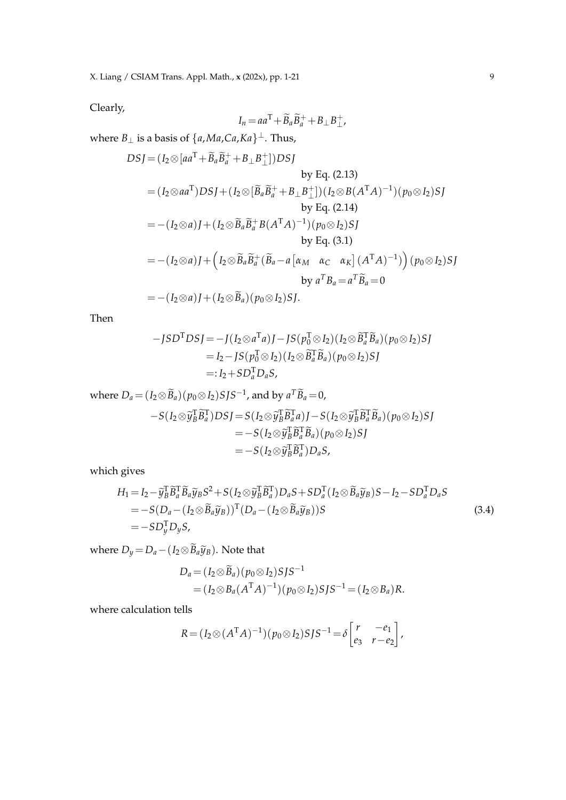Clearly,

$$
I_n = aa^{\mathrm{T}} + \widetilde{B}_a \widetilde{B}_a^+ + B_\perp B_\perp^+
$$

where *B*<sup>⊥</sup> is a basis of {*a*,*Ma*,*Ca*,*Ka*} <sup>⊥</sup>. Thus,

$$
DSJ = (I_2 \otimes [aa^T + \widetilde{B}_a \widetilde{B}_a^+ + B_\perp B_\perp^+])DSJ
$$
  
by Eq. (2.13)  

$$
= (I_2 \otimes aa^T)DSJ + (I_2 \otimes [\widetilde{B}_a \widetilde{B}_a^+ + B_\perp B_\perp^+]) (I_2 \otimes B(A^T A)^{-1}) (p_0 \otimes I_2)SJ
$$
  
by Eq. (2.14)  

$$
= -(I_2 \otimes a)J + (I_2 \otimes \widetilde{B}_a \widetilde{B}_a^+ B(A^T A)^{-1}) (p_0 \otimes I_2)SJ
$$
  
by Eq. (3.1)  

$$
= -(I_2 \otimes a)J + (I_2 \otimes \widetilde{B}_a \widetilde{B}_a^+ (\widetilde{B}_a - a [\alpha_M \ \alpha_C \ \alpha_K] (A^T A)^{-1}) ) (p_0 \otimes I_2)SJ
$$
  
by  $a^T B_a = a^T \widetilde{B}_a = 0$   

$$
= -(I_2 \otimes a)J + (I_2 \otimes \widetilde{B}_a) (p_0 \otimes I_2)SJ.
$$

Then

$$
-JSDTDSJ = -J(I2 \otimes aTa)J - JS(p0T \otimes I2)(I2 \otimes \widetilde{B}_{a}^{T} \widetilde{B}_{a})(p0 \otimes I2)SJ
$$
  
= I<sub>2</sub> - JS(p<sub>0</sub><sup>T</sup> \otimes I<sub>2</sub>)(I<sub>2</sub> \otimes \widetilde{B}\_{a}^{T} \widetilde{B}\_{a})(p<sub>0</sub> \otimes I<sub>2</sub>)SJ  
=: I<sub>2</sub>+ SD<sub>a</sub><sup>T</sup>D<sub>a</sub>S,

where 
$$
D_a = (I_2 \otimes \widetilde{B}_a)(p_0 \otimes I_2)S J S^{-1}
$$
, and by  $a^T \widetilde{B}_a = 0$ ,  
\n
$$
-S(I_2 \otimes \widetilde{y}_B^T \widetilde{B}_a^T)DS J = S(I_2 \otimes \widetilde{y}_B^T \widetilde{B}_a^T a) J - S(I_2 \otimes \widetilde{y}_B^T \widetilde{B}_a^T \widetilde{B}_a)(p_0 \otimes I_2)S J
$$
\n
$$
= -S(I_2 \otimes \widetilde{y}_B^T \widetilde{B}_a^T) (p_0 \otimes I_2)S J
$$
\n
$$
= -S(I_2 \otimes \widetilde{y}_B^T \widetilde{B}_a^T) D_a S,
$$

which gives

$$
H_1 = I_2 - \widetilde{y}_B^T \widetilde{B}_a^T \widetilde{B}_a \widetilde{y}_B S^2 + S(I_2 \otimes \widetilde{y}_B^T \widetilde{B}_a^T) D_a S + S D_a^T (I_2 \otimes \widetilde{B}_a \widetilde{y}_B) S - I_2 - S D_a^T D_a S
$$
  
=  $-S(D_a - (I_2 \otimes \widetilde{B}_a \widetilde{y}_B))^T (D_a - (I_2 \otimes \widetilde{B}_a \widetilde{y}_B)) S$  (3.4)  
=  $-S D_y^T D_y S$ ,

where  $D_y = D_a - (I_2 \otimes \widetilde{B}_a \widetilde{y}_B)$ . Note that

$$
D_a = (I_2 \otimes \widetilde{B}_a)(p_0 \otimes I_2) S J S^{-1}
$$
  
=  $(I_2 \otimes B_a (A^T A)^{-1})(p_0 \otimes I_2) S J S^{-1} = (I_2 \otimes B_a) R.$ 

where calculation tells

$$
R = (I_2 \otimes (A^{\mathrm{T}} A)^{-1})(p_0 \otimes I_2)S J S^{-1} = \delta \begin{bmatrix} r & -e_1 \\ e_3 & r - e_2 \end{bmatrix},
$$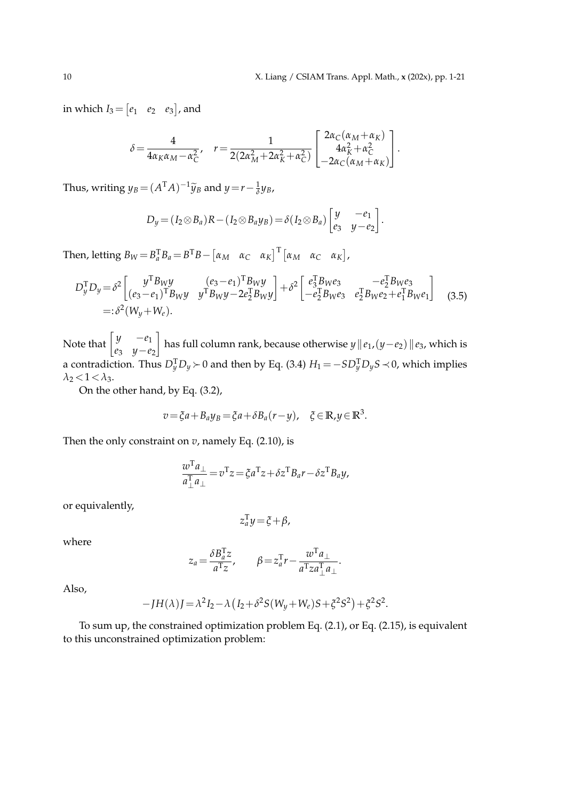.

in which  $I_3 = \begin{bmatrix} e_1 & e_2 & e_3 \end{bmatrix}$ , and

$$
\delta = \frac{4}{4\alpha_K \alpha_M - \alpha_C^2}, \quad r = \frac{1}{2(2\alpha_M^2 + 2\alpha_K^2 + \alpha_C^2)} \begin{bmatrix} 2\alpha_C(\alpha_M + \alpha_K) \\ 4\alpha_K^2 + \alpha_C^2 \\ -2\alpha_C(\alpha_M + \alpha_K) \end{bmatrix}.
$$

Thus, writing  $y_B = (A^T A)^{-1} \widetilde{y}_B$  and  $y = r - \frac{1}{\delta} y_B$ ,

$$
D_y = (I_2 \otimes B_a)R - (I_2 \otimes B_a y_B) = \delta(I_2 \otimes B_a) \begin{bmatrix} y & -e_1 \\ e_3 & y - e_2 \end{bmatrix}
$$

Then, letting  $B_W = B_a^T B_a = B^T B - \begin{bmatrix} \alpha_M & \alpha_C & \alpha_K \end{bmatrix}^T \begin{bmatrix} \alpha_M & \alpha_C & \alpha_K \end{bmatrix}$ ,

$$
D_y^{\mathrm{T}} D_y = \delta^2 \begin{bmatrix} y^{\mathrm{T}} B_W y & (e_3 - e_1)^{\mathrm{T}} B_W y \\ (e_3 - e_1)^{\mathrm{T}} B_W y & y^{\mathrm{T}} B_W y - 2e_2^{\mathrm{T}} B_W y \end{bmatrix} + \delta^2 \begin{bmatrix} e_3^{\mathrm{T}} B_W e_3 & -e_2^{\mathrm{T}} B_W e_3 \\ -e_2^{\mathrm{T}} B_W e_3 & e_2^{\mathrm{T}} B_W e_2 + e_1^{\mathrm{T}} B_W e_1 \end{bmatrix} \tag{3.5}
$$
\n
$$
=:\delta^2 (W_y + W_e).
$$

Note that  $\begin{bmatrix} y & -e_1 \\ a_1 & y_1 \end{bmatrix}$ *e*<sup>3</sup> *y*−*e*<sup>2</sup> has full column rank, because otherwise *y*k*e*1,(*y*−*e*2)k*e*3, which is a contradiction. Thus  $D_y^T D_y \succ 0$  and then by Eq. (3.4)  $H_1 = −SD_y^T D_y S − 0$ , which implies  $\lambda_2$  < 1 <  $\lambda_3$ .

On the other hand, by Eq. (3.2),

$$
v = \xi a + B_a y_B = \xi a + \delta B_a (r - y), \quad \xi \in \mathbb{R}, y \in \mathbb{R}^3.
$$

Then the only constraint on  $v$ , namely Eq. (2.10), is

$$
\frac{w^{\mathrm{T}}a_{\perp}}{a_{\perp}^{\mathrm{T}}a_{\perp}} = v^{\mathrm{T}}z = \xi a^{\mathrm{T}}z + \delta z^{\mathrm{T}}B_a r - \delta z^{\mathrm{T}}B_a y,
$$

or equivalently,

$$
z_a^{\mathrm{T}} y = \xi + \beta,
$$

where

$$
z_a = \frac{\delta B_a^{\mathrm{T}} z}{a^{\mathrm{T}} z}, \qquad \beta = z_a^{\mathrm{T}} r - \frac{w^{\mathrm{T}} a_{\perp}}{a^{\mathrm{T}} z a_{\perp}^{\mathrm{T}} a_{\perp}}.
$$

Also,

$$
-JH(\lambda)J = \lambda^{2}I_{2} - \lambda (I_{2} + \delta^{2}S(W_{y} + W_{e})S + \xi^{2}S^{2}) + \xi^{2}S^{2}.
$$

To sum up, the constrained optimization problem Eq. (2.1), or Eq. (2.15), is equivalent to this unconstrained optimization problem: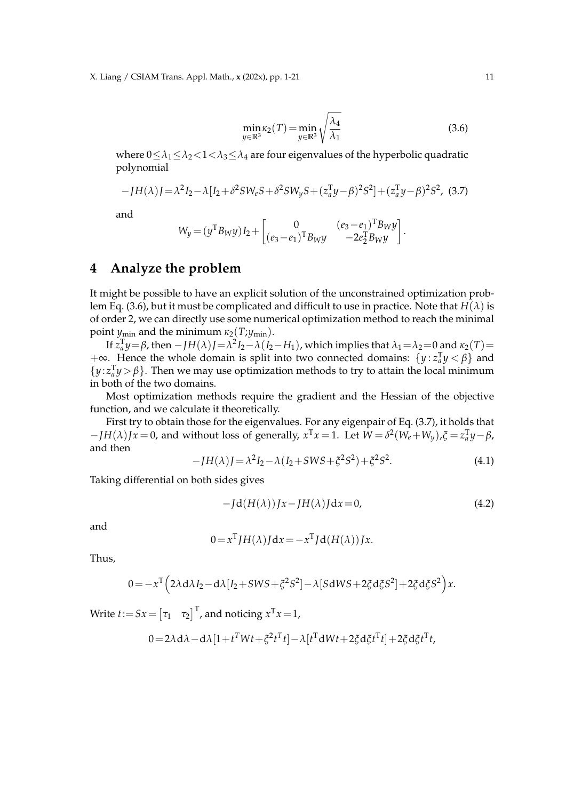$$
\min_{y \in \mathbb{R}^3} \kappa_2(T) = \min_{y \in \mathbb{R}^3} \sqrt{\frac{\lambda_4}{\lambda_1}}
$$
\n(3.6)

where  $0 \leq \lambda_1 \leq \lambda_2 < 1 < \lambda_3 \leq \lambda_4$  are four eigenvalues of the hyperbolic quadratic polynomial

$$
-JH(\lambda)J = \lambda^2 I_2 - \lambda [I_2 + \delta^2 SW_e S + \delta^2 SW_y S + (z_a^{\mathrm{T}} y - \beta)^2 S^2] + (z_a^{\mathrm{T}} y - \beta)^2 S^2, (3.7)
$$

and

$$
W_y = (y^{\mathrm{T}} B_W y) I_2 + \begin{bmatrix} 0 & (e_3 - e_1)^{\mathrm{T}} B_W y \\ (e_3 - e_1)^{\mathrm{T}} B_W y & -2e_2^{\mathrm{T}} B_W y \end{bmatrix}.
$$

#### **4 Analyze the problem**

It might be possible to have an explicit solution of the unconstrained optimization problem Eq. (3.6), but it must be complicated and difficult to use in practice. Note that *H*(*λ*) is of order 2, we can directly use some numerical optimization method to reach the minimal point  $y_{\text{min}}$  and the minimum  $\kappa_2(T; y_{\text{min}})$ .

If  $z_a^T y = \beta$ , then  $-JH(\lambda)J = \lambda^2 I_2 - \lambda (I_2 - H_1)$ , which implies that  $\lambda_1 = \lambda_2 = 0$  and  $\kappa_2(T) =$ +∞. Hence the whole domain is split into two connected domains:  $\{y : z_a^T y < \beta\}$  and  $\{y: z_a^T y > \beta\}$ . Then we may use optimization methods to try to attain the local minimum in both of the two domains.

Most optimization methods require the gradient and the Hessian of the objective function, and we calculate it theoretically.

First try to obtain those for the eigenvalues. For any eigenpair of Eq. (3.7), it holds that  $-JH(\lambda)Jx = 0$ , and without loss of generally,  $x^Tx = 1$ . Let  $W = \delta^2(W_e + W_y)$ ,  $\xi = z_a^Ty - \beta$ , and then

$$
-JH(\lambda)J = \lambda^2 I_2 - \lambda (I_2 + SWS + \xi^2 S^2) + \xi^2 S^2.
$$
 (4.1)

Taking differential on both sides gives

$$
-Jd(H(\lambda))Jx-JH(\lambda)Jdx=0,
$$
\n(4.2)

and

$$
0 = x^T J H(\lambda) J dx = -x^T J d(H(\lambda)) Jx.
$$

Thus,

$$
0=-x^{\mathrm{T}}\Big(2\lambda\mathrm{d}\lambda I_2-\mathrm{d}\lambda[I_2+SWS+\xi^2S^2]-\lambda[SdWS+2\xi\mathrm{d}\xi S^2]+2\xi\mathrm{d}\xi S^2\Big)x.
$$

Write  $t:=Sx=\begin{bmatrix} \tau_1 & \tau_2 \end{bmatrix}^\text{T}$ , and noticing  $x^\text{T}x\!=\!1$ ,  $0=2\lambda \mathrm{d}\lambda-\mathrm{d}\lambda\left[1+t^TWt+\zeta^2t^Tt\right]-\lambda\left[t^T\mathrm{d}Wt+2\zeta\mathrm{d}\zeta t^Tt\right]+2\zeta\mathrm{d}\zeta t^Tt,$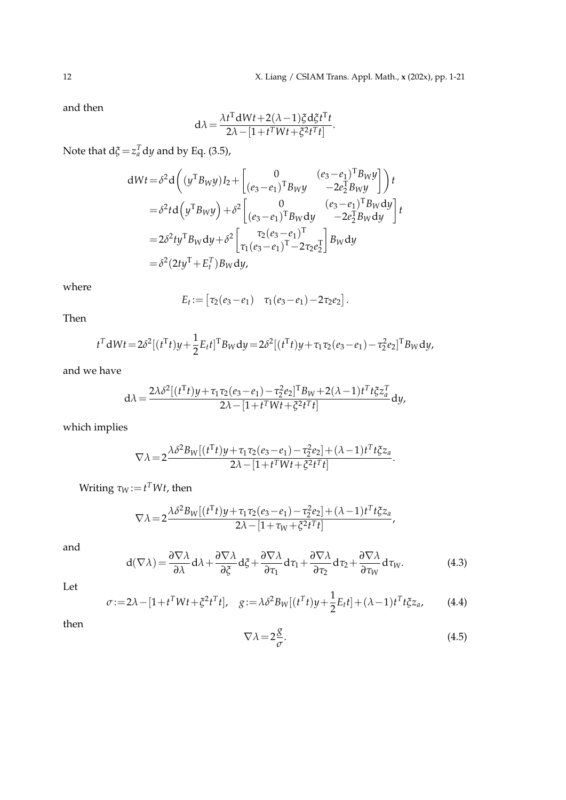and then

$$
d\lambda = \frac{\lambda t^{T} dWt + 2(\lambda - 1)\xi d\xi t^{T}t}{2\lambda - [1 + t^{T}Wt + \xi^{2}t^{T}t]}.
$$

Note that  $d\xi = z_a^T dy$  and by Eq. (3.5),

$$
dWt = \delta^2 d \left( (y^{\mathrm{T}} B_W y) I_2 + \begin{bmatrix} 0 & (e_3 - e_1)^{\mathrm{T}} B_W y \\ (e_3 - e_1)^{\mathrm{T}} B_W y & -2e_2^{\mathrm{T}} B_W y \end{bmatrix} \right) t
$$
  

$$
= \delta^2 t d \left( y^{\mathrm{T}} B_W y \right) + \delta^2 \begin{bmatrix} 0 & (e_3 - e_1)^{\mathrm{T}} B_W dy \\ (e_3 - e_1)^{\mathrm{T}} B_W dy & -2e_2^{\mathrm{T}} B_W dy \end{bmatrix} t
$$
  

$$
= 2\delta^2 t y^{\mathrm{T}} B_W dy + \delta^2 \begin{bmatrix} \tau_2 (e_3 - e_1)^{\mathrm{T}} & 0 \\ \tau_1 (e_3 - e_1)^{\mathrm{T}} - 2\tau_2 e_2^{\mathrm{T}} \end{bmatrix} B_W dy
$$
  

$$
= \delta^2 (2t y^{\mathrm{T}} + E_t^{\mathrm{T}}) B_W dy,
$$

where

$$
E_t := [ \tau_2(e_3 - e_1) \quad \tau_1(e_3 - e_1) - 2\tau_2 e_2 ].
$$

Then

$$
t^{T} dW t = 2\delta^{2}[(t^{T}t)y + \frac{1}{2}E_{t}t]^{T}B_{W} dy = 2\delta^{2}[(t^{T}t)y + \tau_{1}\tau_{2}(e_{3} - e_{1}) - \tau_{2}^{2}e_{2}]^{T}B_{W} dy,
$$

and we have

$$
d\lambda = \frac{2\lambda\delta^2[(t^Tt)y + \tau_1\tau_2(e_3 - e_1) - \tau_2^2e_2]^T B_W + 2(\lambda - 1)t^T t \xi z_a^T}{2\lambda - [1 + t^T W t + \xi^2 t^T t]} dy,
$$

which implies

$$
\nabla \lambda = 2 \frac{\lambda \delta^2 B_W[(t^{\mathrm{T}}t)y + \tau_1 \tau_2 (e_3 - e_1) - \tau_2^2 e_2] + (\lambda - 1) t^{\mathrm{T}} t \xi z_a}{2\lambda - [1 + t^{\mathrm{T}} W t + \xi^2 t^{\mathrm{T}} t]}.
$$

 $W$ riting  $\tau_W$ := $t^TWt$ , then

$$
\nabla \lambda = 2 \frac{\lambda \delta^2 B_W[(t^{\mathrm{T}}t)y + \tau_1 \tau_2 (e_3 - e_1) - \tau_2^2 e_2] + (\lambda - 1)t^{\mathrm{T}} t \xi z_a}{2\lambda - [1 + \tau_W + \xi^2 t^{\mathrm{T}} t]} ,
$$

and

$$
d(\nabla \lambda) = \frac{\partial \nabla \lambda}{\partial \lambda} d\lambda + \frac{\partial \nabla \lambda}{\partial \xi} d\xi + \frac{\partial \nabla \lambda}{\partial \tau_1} d\tau_1 + \frac{\partial \nabla \lambda}{\partial \tau_2} d\tau_2 + \frac{\partial \nabla \lambda}{\partial \tau_W} d\tau_W.
$$
 (4.3)

Let

$$
\sigma := 2\lambda - [1 + t^T W t + \xi^2 t^T t], \quad g := \lambda \delta^2 B_W[(t^T t)y + \frac{1}{2} E_t t] + (\lambda - 1) t^T t \xi z_a, \tag{4.4}
$$

then

$$
\nabla \lambda = 2 \frac{g}{\sigma}.
$$
\n(4.5)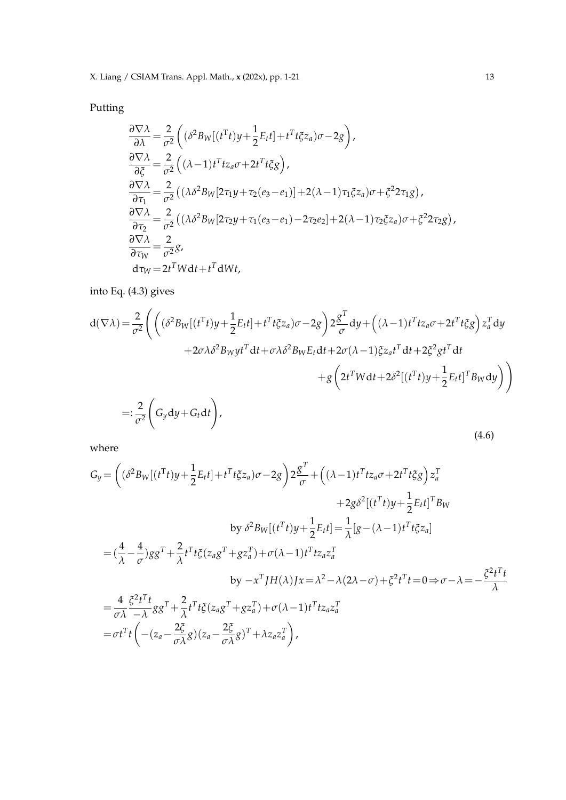X. Liang / CSIAM Trans. Appl. Math., **x** (202x), pp. 1-21 13

Putting

$$
\frac{\partial \nabla \lambda}{\partial \lambda} = \frac{2}{\sigma^2} \left( (\delta^2 B_W[(t^T t)y + \frac{1}{2} E_t t] + t^T t \xi z_a) \sigma - 2g \right),
$$
  
\n
$$
\frac{\partial \nabla \lambda}{\partial \xi} = \frac{2}{\sigma^2} \left( (\lambda - 1) t^T t z_a \sigma + 2t^T t \xi g \right),
$$
  
\n
$$
\frac{\partial \nabla \lambda}{\partial \tau_1} = \frac{2}{\sigma^2} \left( (\lambda \delta^2 B_W [2 \tau_1 y + \tau_2 (e_3 - e_1)] + 2(\lambda - 1) \tau_1 \xi z_a \right) \sigma + \xi^2 2 \tau_1 g \right),
$$
  
\n
$$
\frac{\partial \nabla \lambda}{\partial \tau_2} = \frac{2}{\sigma^2} \left( (\lambda \delta^2 B_W [2 \tau_2 y + \tau_1 (e_3 - e_1) - 2 \tau_2 e_2] + 2(\lambda - 1) \tau_2 \xi z_a \right) \sigma + \xi^2 2 \tau_2 g \right),
$$
  
\n
$$
\frac{\partial \nabla \lambda}{\partial \tau_W} = \frac{2}{\sigma^2} g,
$$
  
\n
$$
d\tau_W = 2t^T W dt + t^T dW t,
$$

into Eq. (4.3) gives

$$
d(\nabla \lambda) = \frac{2}{\sigma^2} \Biggl( \Big( (\delta^2 B_W[(t^T t)y + \frac{1}{2}E_t t] + t^T t \xi z_a) \sigma - 2g \Big) 2 \frac{g^T}{\sigma} dy + \Big( (\lambda - 1)t^T t z_a \sigma + 2t^T t \xi g \Big) z_a^T dy
$$
  
+2\sigma \lambda \delta^2 B\_W y t^T dt + \sigma \lambda \delta^2 B\_W E\_t dt + 2\sigma (\lambda - 1) \xi z\_a t^T dt + 2 \xi^2 g t^T dt  
+g \Big( 2t^T W dt + 2\delta^2 [(t^T t)y + \frac{1}{2}E\_t t]^T B\_W dy \Big) \Biggr)  
=: \frac{2}{\sigma^2} \Biggl( G\_y dy + G\_t dt \Biggr), \tag{4.6}

where

$$
G_y = \left( (\delta^2 B_W[(t^T t)y + \frac{1}{2}E_t t] + t^T t \xi z_a) \sigma - 2g \right) 2\frac{g^T}{\sigma} + \left( (\lambda - 1)t^T t z_a \sigma + 2t^T t \xi g \right) z_a^T
$$
  

$$
+ 2g \delta^2 [(t^T t)y + \frac{1}{2}E_t t]^T B_W
$$
  
by  $\delta^2 B_W[(t^T t)y + \frac{1}{2}E_t t] = \frac{1}{\lambda} [g - (\lambda - 1)t^T t \xi z_a]$   

$$
= (\frac{4}{\lambda} - \frac{4}{\sigma}) g g^T + \frac{2}{\lambda} t^T t \xi (z_a g^T + g z_a^T) + \sigma (\lambda - 1) t^T t z_a z_a^T
$$
  
by  $-x^T J H(\lambda) Jx = \lambda^2 - \lambda (2\lambda - \sigma) + \xi^2 t^T t = 0 \Rightarrow \sigma - \lambda = -\frac{\xi^2 t^T t}{\lambda}$   

$$
= \frac{4}{\sigma \lambda} \frac{\xi^2 t^T t}{-\lambda} g g^T + \frac{2}{\lambda} t^T t \xi (z_a g^T + g z_a^T) + \sigma (\lambda - 1) t^T t z_a z_a^T
$$
  

$$
= \sigma t^T t \left( -(z_a - \frac{2\xi}{\sigma \lambda} g)(z_a - \frac{2\xi}{\sigma \lambda} g)^T + \lambda z_a z_a^T \right),
$$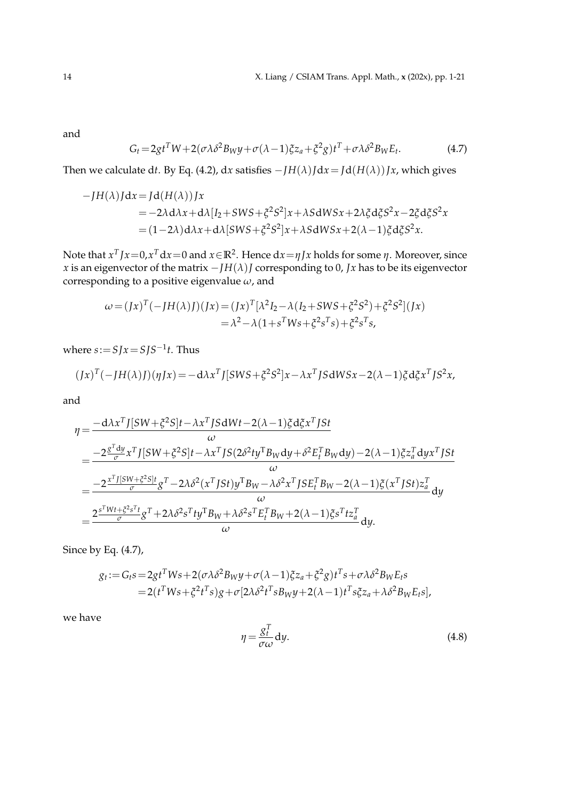and

$$
G_t = 2gt^T W + 2(\sigma \lambda \delta^2 B_W y + \sigma (\lambda - 1) \xi z_a + \xi^2 g) t^T + \sigma \lambda \delta^2 B_W E_t.
$$
 (4.7)

Then we calculate dt. By Eq. (4.2), dx satisfies  $-IH(\lambda)Jdx = Jd(H(\lambda))Jx$ , which gives

$$
-JH(\lambda)Jdx = Jd(H(\lambda))Jx
$$
  
= -2\lambda d\lambda x + d\lambda[I\_2 + SWS + \xi^2 S^2]x + \lambda SdWSx + 2\lambda \xi d\xi S^2 x - 2\xi d\xi S^2 x  
= (1-2\lambda)d\lambda x + d\lambda[SWS + \xi^2 S^2]x + \lambda SdWSx + 2(\lambda - 1)\xi d\xi S^2 x.

Note that *x T Jx*=0,*x <sup>T</sup>* d*x*=0 and *x*∈**R**<sup>2</sup> . Hence d*x*=*ηJx* holds for some *η*. Moreover, since *x* is an eigenvector of the matrix  $-IH(\lambda)J$  corresponding to 0, *Jx* has to be its eigenvector corresponding to a positive eigenvalue *ω*, and

$$
\omega = (Jx)^{T}(-JH(\lambda)J)(Jx) = (Jx)^{T}[\lambda^{2}I_{2} - \lambda(I_{2} + SWS + \xi^{2}S^{2}) + \xi^{2}S^{2}](Jx)
$$
  
=  $\lambda^{2} - \lambda(1 + s^{T}Ws + \xi^{2} s^{T}s) + \xi^{2} s^{T}s$ ,

where  $s:=SJx=SJS^{-1}t$ . Thus

$$
(Jx)^{T}(-JH(\lambda)J)(\eta Jx) = -d\lambda x^{T}J[SWS + \xi^{2}S^{2}]x - \lambda x^{T}JSdWSx - 2(\lambda - 1)\xi d\xi x^{T}JS^{2}x,
$$

and

$$
\eta = \frac{-d\lambda x^T J[SW + \xi^2 S]t - \lambda x^T J S dWt - 2(\lambda - 1)\xi d\xi x^T J St}{\omega}
$$
  
\n
$$
= \frac{-2\frac{g^T dy}{\sigma} x^T J[SW + \xi^2 S]t - \lambda x^T J S(2\delta^2 ty^T B_W dy + \delta^2 E_t^T B_W dy) - 2(\lambda - 1)\xi z_a^T dy x^T J St}{\omega}
$$
  
\n
$$
= \frac{-2\frac{x^T J[SW + \xi^2 S]t}{\sigma} g^T - 2\lambda \delta^2 (x^T J St) y^T B_W - \lambda \delta^2 x^T J S E_t^T B_W - 2(\lambda - 1)\xi (x^T J St) z_a^T}{\omega} dy
$$
  
\n
$$
= \frac{2\frac{s^T W t + \xi^2 s^T t}{\sigma} g^T + 2\lambda \delta^2 s^T ty^T B_W + \lambda \delta^2 s^T E_t^T B_W + 2(\lambda - 1)\xi s^T tz_a^T}{\omega} dy.
$$

Since by Eq. (4.7),

$$
g_t := G_t s = 2gt^T W s + 2(\sigma \lambda \delta^2 B_W y + \sigma (\lambda - 1) \xi z_a + \xi^2 g) t^T s + \sigma \lambda \delta^2 B_W E_t s
$$
  
= 2(t^T W s + \xi^2 t^T s)g + \sigma [2\lambda \delta^2 t^T s B\_W y + 2(\lambda - 1) t^T s \xi z\_a + \lambda \delta^2 B\_W E\_t s],

we have

$$
\eta = \frac{g_t^T}{\sigma \omega} dy. \tag{4.8}
$$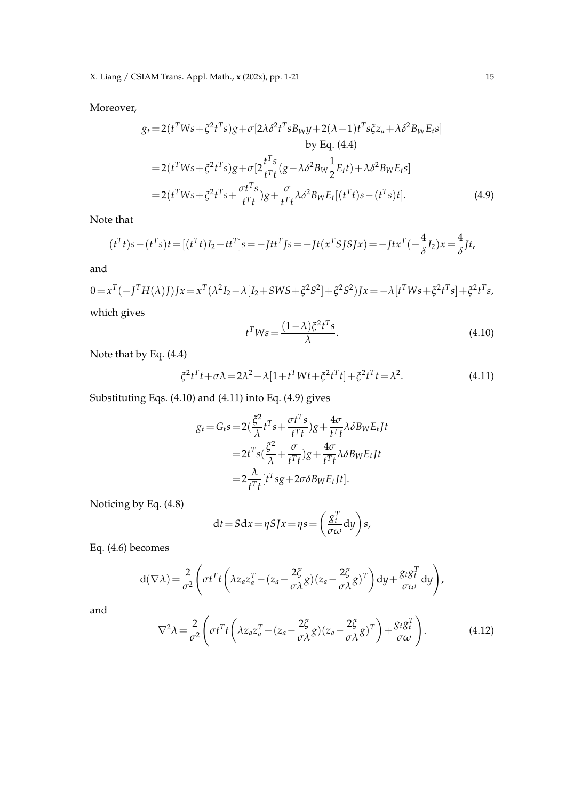Moreover,

$$
g_{t} = 2(t^{T}Ws + \xi^{2}t^{T}s)g + \sigma[2\lambda\delta^{2}t^{T}sB_{W}y + 2(\lambda - 1)t^{T}s\xi z_{a} + \lambda\delta^{2}B_{W}E_{t}s]
$$
  
\nby Eq. (4.4)  
\n
$$
= 2(t^{T}Ws + \xi^{2}t^{T}s)g + \sigma[2\frac{t^{T}s}{t^{T}t}(g - \lambda\delta^{2}B_{W}\frac{1}{2}E_{t}t) + \lambda\delta^{2}B_{W}E_{t}s]
$$
  
\n
$$
= 2(t^{T}Ws + \xi^{2}t^{T}s + \frac{\sigma t^{T}s}{t^{T}t})g + \frac{\sigma}{t^{T}t}\lambda\delta^{2}B_{W}E_{t}[(t^{T}t)s - (t^{T}s)t].
$$
\n(4.9)

Note that

$$
(t^Tt)s - (t^Ts)t = [(t^Tt)I_2 - tt^T]s = -Jtt^TJs = -Jt(x^TSJSJx) = -Jtx^T(-\frac{4}{\delta}I_2)x = \frac{4}{\delta}Jt,
$$

and

$$
0 = x^T(-J^T H(\lambda)J)Jx = x^T(\lambda^2 I_2 - \lambda [I_2 + SWS + \xi^2 S^2] + \xi^2 S^2)Jx = -\lambda [t^T W s + \xi^2 t^T s] + \xi^2 t^T s,
$$
  
which gives

which gives

$$
t^T W s = \frac{(1 - \lambda)\xi^2 t^T s}{\lambda}.
$$
\n(4.10)

Note that by Eq. (4.4)

$$
\xi^2 t^T t + \sigma \lambda = 2\lambda^2 - \lambda [1 + t^T W t + \xi^2 t^T t] + \xi^2 t^T t = \lambda^2.
$$
 (4.11)

Substituting Eqs. (4.10) and (4.11) into Eq. (4.9) gives

$$
g_t = G_t s = 2\left(\frac{\xi^2}{\lambda}t^Ts + \frac{\sigma t^Ts}{t^Tt}\right)g + \frac{4\sigma}{t^Tt}\lambda \delta B_W E_t Jt
$$
  

$$
= 2t^Ts\left(\frac{\xi^2}{\lambda} + \frac{\sigma}{t^Tt}\right)g + \frac{4\sigma}{t^Tt}\lambda \delta B_W E_t Jt
$$
  

$$
= 2\frac{\lambda}{t^Tt}[t^Tsg + 2\sigma \delta B_W E_t Jt].
$$

Noticing by Eq. (4.8)

$$
dt = Sdx = \eta SJx = \eta s = \left(\frac{g_t^T}{\sigma \omega} dy\right) s,
$$

Eq. (4.6) becomes

$$
d(\nabla \lambda) = \frac{2}{\sigma^2} \left( \sigma t^T t \left( \lambda z_a z_a^T - (z_a - \frac{2\xi}{\sigma \lambda} g)(z_a - \frac{2\xi}{\sigma \lambda} g)^T \right) dy + \frac{g_t g_t^T}{\sigma \omega} dy \right),
$$

and

$$
\nabla^2 \lambda = \frac{2}{\sigma^2} \left( \sigma t^T t \left( \lambda z_a z_a^T - (z_a - \frac{2\xi}{\sigma \lambda} g)(z_a - \frac{2\xi}{\sigma \lambda} g)^T \right) + \frac{g_t g_t^T}{\sigma \omega} \right).
$$
(4.12)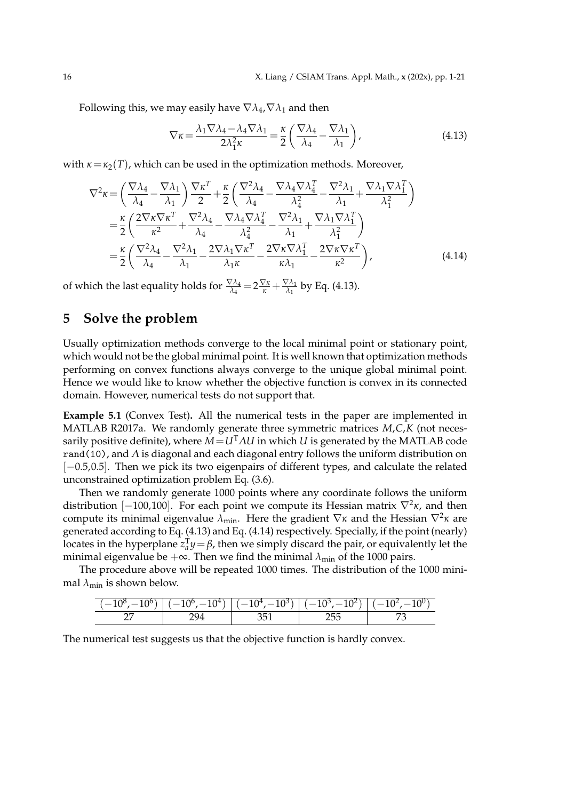Following this, we may easily have  $\nabla \lambda_4$ ,  $\nabla \lambda_1$  and then

$$
\nabla \kappa = \frac{\lambda_1 \nabla \lambda_4 - \lambda_4 \nabla \lambda_1}{2\lambda_1^2 \kappa} = \frac{\kappa}{2} \left( \frac{\nabla \lambda_4}{\lambda_4} - \frac{\nabla \lambda_1}{\lambda_1} \right),\tag{4.13}
$$

with  $\kappa = \kappa_2(T)$ , which can be used in the optimization methods. Moreover,

$$
\nabla^2 \kappa = \left(\frac{\nabla \lambda_4}{\lambda_4} - \frac{\nabla \lambda_1}{\lambda_1}\right) \frac{\nabla \kappa^T}{2} + \frac{\kappa}{2} \left(\frac{\nabla^2 \lambda_4}{\lambda_4} - \frac{\nabla \lambda_4 \nabla \lambda_4^T}{\lambda_4^2} - \frac{\nabla^2 \lambda_1}{\lambda_1} + \frac{\nabla \lambda_1 \nabla \lambda_1^T}{\lambda_1^2}\right)
$$
  
=  $\frac{\kappa}{2} \left(\frac{2 \nabla \kappa \nabla \kappa^T}{\kappa^2} + \frac{\nabla^2 \lambda_4}{\lambda_4} - \frac{\nabla \lambda_4 \nabla \lambda_4^T}{\lambda_4^2} - \frac{\nabla^2 \lambda_1}{\lambda_1} + \frac{\nabla \lambda_1 \nabla \lambda_1^T}{\lambda_1^2}\right)$   
=  $\frac{\kappa}{2} \left(\frac{\nabla^2 \lambda_4}{\lambda_4} - \frac{\nabla^2 \lambda_1}{\lambda_1} - \frac{2 \nabla \lambda_1 \nabla \kappa^T}{\lambda_1 \kappa} - \frac{2 \nabla \kappa \nabla \lambda_1^T}{\kappa \lambda_1} - \frac{2 \nabla \kappa \nabla \kappa^T}{\kappa^2}\right),$  (4.14)

of which the last equality holds for  $\frac{\nabla \lambda_4}{\lambda_4} = 2\frac{\nabla \kappa}{\kappa} + \frac{\nabla \lambda_1}{\lambda_1}$  $\frac{\sqrt{\lambda_1}}{\lambda_1}$  by Eq. (4.13).

### **5 Solve the problem**

Usually optimization methods converge to the local minimal point or stationary point, which would not be the global minimal point. It is well known that optimization methods performing on convex functions always converge to the unique global minimal point. Hence we would like to know whether the objective function is convex in its connected domain. However, numerical tests do not support that.

**Example 5.1** (Convex Test)**.** All the numerical tests in the paper are implemented in MATLAB R2017a. We randomly generate three symmetric matrices *M*,*C*,*K* (not necessarily positive definite), where *M*=*U*T*ΛU* in which *U* is generated by the MATLAB code rand(10), and *Λ* is diagonal and each diagonal entry follows the uniform distribution on [−0.5,0.5]. Then we pick its two eigenpairs of different types, and calculate the related unconstrained optimization problem Eq. (3.6).

Then we randomly generate 1000 points where any coordinate follows the uniform distribution [−100,100]. For each point we compute its Hessian matrix ∇<sup>2</sup> *κ*, and then compute its minimal eigenvalue *λ*min. Here the gradient ∇*κ* and the Hessian ∇<sup>2</sup> *κ* are generated according to Eq. (4.13) and Eq. (4.14) respectively. Specially, if the point (nearly) locates in the hyperplane  $z_a^T y = \beta$ , then we simply discard the pair, or equivalently let the minimal eigenvalue be  $+\infty$ . Then we find the minimal  $\lambda_{\min}$  of the 1000 pairs.

The procedure above will be repeated 1000 times. The distribution of the 1000 minimal  $\lambda_{\min}$  is shown below.

|          | ∸<br>- | ີ<br>. . | --<br>- | - |
|----------|--------|----------|---------|---|
| --<br>-- |        |          | .<br>-- |   |

The numerical test suggests us that the objective function is hardly convex.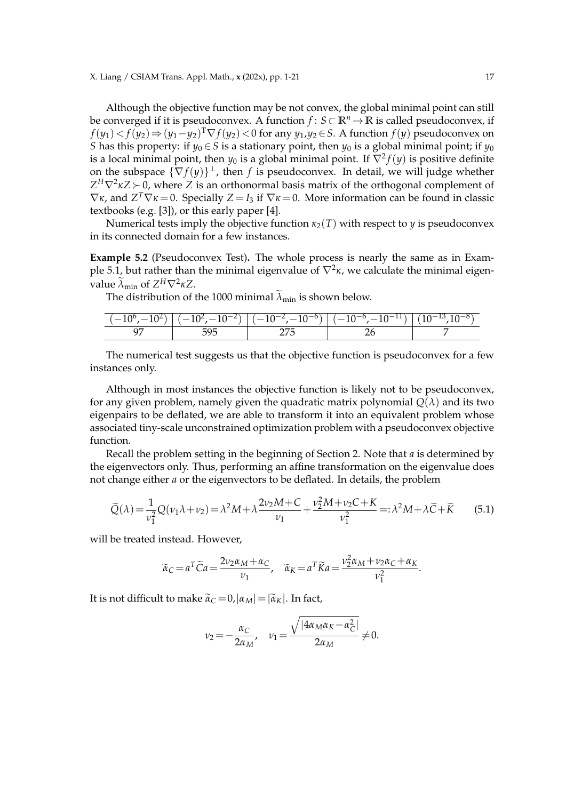Although the objective function may be not convex, the global minimal point can still be converged if it is pseudoconvex. A function *f* : *S*⊂**R***<sup>n</sup>* →**R** is called pseudoconvex, if *f*(*y*1)< *f*(*y*2)⇒(*y*1−*y*2) <sup>T</sup>∇ *f*(*y*2)<0 for any *y*1,*y*2∈*S*. A function *f*(*y*) pseudoconvex on *S* has this property: if  $y_0 \in S$  is a stationary point, then  $y_0$  is a global minimal point; if  $y_0$ is a local minimal point, then  $y_0$  is a global minimal point. If  $\nabla^2 f(y)$  is positive definite on the subspace  $\{\nabla f(y)\}^{\perp}$ , then *f* is pseudoconvex. In detail, we will judge whether *Z*<sup>H</sup>∇<sup>2</sup>κ*Z* ≻ 0, where *Z* is an orthonormal basis matrix of the orthogonal complement of  $\nabla$ *κ*, and  $Z^T \nabla$ *κ* = 0. Specially  $Z = I_3$  if  $\nabla$ *κ* = 0. More information can be found in classic textbooks (e.g. [3]), or this early paper [4].

Numerical tests imply the objective function  $\kappa_2(T)$  with respect to *y* is pseudoconvex in its connected domain for a few instances.

**Example 5.2** (Pseudoconvex Test)**.** The whole process is nearly the same as in Example 5.1, but rather than the minimal eigenvalue of ∇<sup>2</sup> *κ*, we calculate the minimal eigenvalue  $\widetilde{\lambda}_{min}$  of  $Z^H \nabla^2 \kappa Z$ .

The distribution of the 1000 minimal  $\tilde{\lambda}_{min}$  is shown below.

| ΨU | $(10^{-2})$   ( | $\sqrt{10^{-7}}$<br>$10^{-2}$ , $-10^{-6}$<br>$\overline{\sigma}$ | $10^{-6}$<br>$\sim$ $-10^{-1}$<br>$\cdot$ $\cdot$ | ΙU<br>ΠO |
|----|-----------------|-------------------------------------------------------------------|---------------------------------------------------|----------|
|    |                 |                                                                   |                                                   |          |

The numerical test suggests us that the objective function is pseudoconvex for a few instances only.

Although in most instances the objective function is likely not to be pseudoconvex, for any given problem, namely given the quadratic matrix polynomial  $O(\lambda)$  and its two eigenpairs to be deflated, we are able to transform it into an equivalent problem whose associated tiny-scale unconstrained optimization problem with a pseudoconvex objective function.

Recall the problem setting in the beginning of Section 2. Note that *a* is determined by the eigenvectors only. Thus, performing an affine transformation on the eigenvalue does not change either *a* or the eigenvectors to be deflated. In details, the problem

$$
\widetilde{Q}(\lambda) = \frac{1}{\nu_1^2} Q(\nu_1 \lambda + \nu_2) = \lambda^2 M + \lambda \frac{2\nu_2 M + C}{\nu_1} + \frac{\nu_2^2 M + \nu_2 C + K}{\nu_1^2} =: \lambda^2 M + \lambda \widetilde{C} + \widetilde{K}
$$
(5.1)

will be treated instead. However,

$$
\widetilde{\alpha}_C = a^T \widetilde{C} a = \frac{2v_2 \alpha_M + \alpha_C}{v_1}, \quad \widetilde{\alpha}_K = a^T \widetilde{K} a = \frac{v_2^2 \alpha_M + v_2 \alpha_C + \alpha_K}{v_1^2}.
$$

It is not difficult to make  $\tilde{\alpha}_C = 0$ ,  $|\alpha_M| = |\tilde{\alpha}_K|$ . In fact,

$$
\nu_2 = -\frac{\alpha_C}{2\alpha_M}, \quad \nu_1 = \frac{\sqrt{|4\alpha_M\alpha_K - \alpha_C^2|}}{2\alpha_M} \neq 0.
$$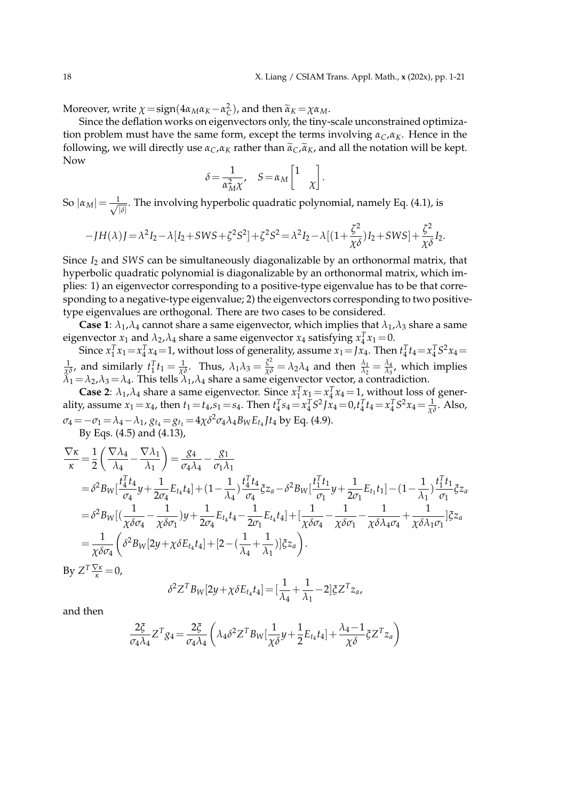.

Moreover, write  $\chi = \text{sign}(4\alpha_M \alpha_K - \alpha_C^2)$ , and then  $\widetilde{\alpha}_K = \chi \alpha_M$ .<br>Since the deflation works on giganwestars only the tiny.

Since the deflation works on eigenvectors only, the tiny-scale unconstrained optimization problem must have the same form, except the terms involving *αC*,*αK*. Hence in the following, we will directly use  $\alpha_C$ , $\alpha_K$  rather than  $\tilde{\alpha}_C$ , $\tilde{\alpha}_K$ , and all the notation will be kept. Now

$$
\delta = \frac{1}{\alpha_{\rm M}^2 \chi}, \quad S = \alpha_{\rm M} \begin{bmatrix} 1 \\ & \chi \end{bmatrix}
$$

So  $|\alpha_M| = \frac{1}{\sqrt{2}}$  $\frac{\partial}{\partial |\delta|}$ . The involving hyperbolic quadratic polynomial, namely Eq. (4.1), is

$$
-JH(\lambda)J = \lambda^2 I_2 - \lambda [I_2 + SWS + \zeta^2 S^2] + \zeta^2 S^2 = \lambda^2 I_2 - \lambda [(1 + \frac{\zeta^2}{\chi \delta})I_2 + SWS] + \frac{\zeta^2}{\chi \delta} I_2.
$$

Since *I*<sup>2</sup> and *SWS* can be simultaneously diagonalizable by an orthonormal matrix, that hyperbolic quadratic polynomial is diagonalizable by an orthonormal matrix, which implies: 1) an eigenvector corresponding to a positive-type eigenvalue has to be that corresponding to a negative-type eigenvalue; 2) the eigenvectors corresponding to two positivetype eigenvalues are orthogonal. There are two cases to be considered.

**Case 1**:  $\lambda_1$ , $\lambda_4$  cannot share a same eigenvector, which implies that  $\lambda_1$ , $\lambda_3$  share a same eigenvector  $x_1$  and  $\lambda_2$ ,  $\lambda_4$  share a same eigenvector  $x_4$  satisfying  $x_4^T x_1 = 0$ .

Since  $x_1^T x_1 = x_4^T x_4 = 1$ , without loss of generality, assume  $x_1 = Jx_4$ . Then  $t_4^T t_4 = x_4^T S^2 x_4 =$  $\frac{1}{\chi \delta}$ , and similarly  $t_1^T t_1 = \frac{1}{\chi \delta}$ . Thus,  $\lambda_1 \lambda_3 = \frac{\xi^2}{\chi \delta} = \lambda_2 \lambda_4$  and then  $\frac{\lambda_1}{\lambda_2} = \frac{\lambda_4}{\lambda_3}$  $\frac{\lambda_4}{\lambda_3}$ , which implies  $\lambda_1 = \lambda_2$ , $\lambda_3 = \lambda_4$ . This tells  $\lambda_1$ , $\lambda_4$  share a same eigenvector vector, a contradiction.

**Case 2:**  $\lambda_1, \lambda_4$  share a same eigenvector. Since  $x_1^T x_1 = x_4^T x_4 = 1$ , without loss of generality, assume  $x_1 = x_4$ , then  $t_1 = t_4$ ,  $s_1 = s_4$ . Then  $t_4^T s_4 = x_4^T S^2 J x_4 = 0$ ,  $t_4^T t_4 = x_4^T S^2 x_4 = \frac{1}{\chi \delta}$ . Also,  $\sigma_4 = -\sigma_1 = \lambda_4 - \lambda_1$ ,  $g_{t_4} = g_{t_1} = 4\chi \delta^2 \sigma_4 \lambda_4 B_W E_{t_4} J t_4$  by Eq. (4.9). By Eqs. (4.5) and (4.13),

$$
\frac{\nabla \kappa}{\kappa} = \frac{1}{2} \left( \frac{\nabla \lambda_4}{\lambda_4} - \frac{\nabla \lambda_1}{\lambda_1} \right) = \frac{g_4}{\sigma_4 \lambda_4} - \frac{g_1}{\sigma_1 \lambda_1}
$$
\n
$$
= \delta^2 B_W \left[ \frac{t_4^T t_4}{\sigma_4} y + \frac{1}{2\sigma_4} E_{t_4} t_4 \right] + (1 - \frac{1}{\lambda_4}) \frac{t_4^T t_4}{\sigma_4} \xi z_a - \delta^2 B_W \left[ \frac{t_1^T t_1}{\sigma_1} y + \frac{1}{2\sigma_1} E_{t_1} t_1 \right] - (1 - \frac{1}{\lambda_1}) \frac{t_1^T t_1}{\sigma_1} \xi z_a
$$
\n
$$
= \delta^2 B_W \left[ \left( \frac{1}{\chi \delta \sigma_4} - \frac{1}{\chi \delta \sigma_1} \right) y + \frac{1}{2\sigma_4} E_{t_4} t_4 - \frac{1}{2\sigma_1} E_{t_4} t_4 \right] + \left[ \frac{1}{\chi \delta \sigma_4} - \frac{1}{\chi \delta \sigma_1} - \frac{1}{\chi \delta \lambda_4 \sigma_4} + \frac{1}{\chi \delta \lambda_1 \sigma_1} \right] \xi z_a
$$
\n
$$
= \frac{1}{\chi \delta \sigma_4} \left( \delta^2 B_W \left[ 2y + \chi \delta E_{t_4} t_4 \right] + \left[ 2 - \left( \frac{1}{\lambda_4} + \frac{1}{\lambda_1} \right) \right] \xi z_a \right).
$$

By  $Z^T \frac{\nabla \kappa}{\kappa} = 0$ ,

$$
\delta^2 Z^T B_W[2y + \chi \delta E_{t_4} t_4] = \left[\frac{1}{\lambda_4} + \frac{1}{\lambda_1} - 2\right] \xi Z^T z_a,
$$

and then

$$
\frac{2\xi}{\sigma_4\lambda_4}Z^Tg_4 = \frac{2\xi}{\sigma_4\lambda_4} \left(\lambda_4\delta^2 Z^T B_W\left[\frac{1}{\chi\delta}y + \frac{1}{2}E_{t_4}t_4\right] + \frac{\lambda_4 - 1}{\chi\delta}\zeta Z^T z_a\right)
$$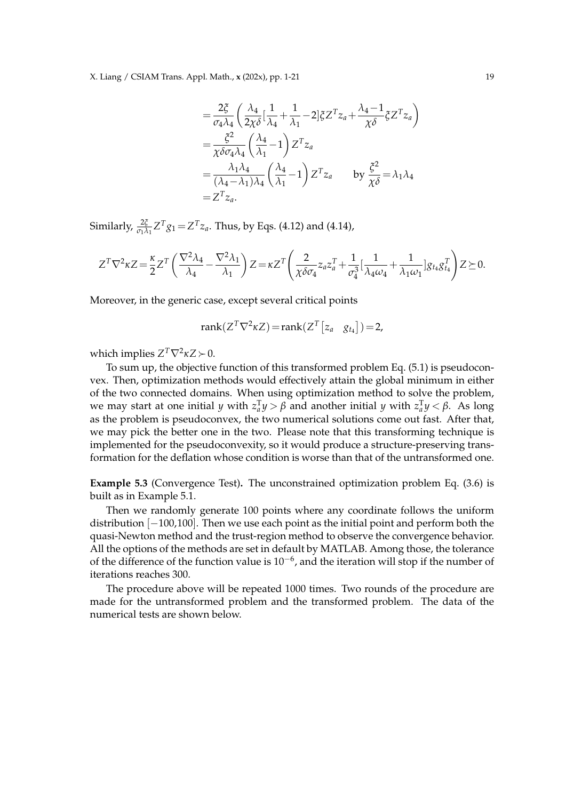X. Liang / CSIAM Trans. Appl. Math., **x** (202x), pp. 1-21 19

$$
\begin{split}\n&= \frac{2\xi}{\sigma_4 \lambda_4} \left( \frac{\lambda_4}{2\chi \delta} \left[ \frac{1}{\lambda_4} + \frac{1}{\lambda_1} - 2 \right] \xi Z^T z_a + \frac{\lambda_4 - 1}{\chi \delta} \xi Z^T z_a \right) \\
&= \frac{\xi^2}{\chi \delta \sigma_4 \lambda_4} \left( \frac{\lambda_4}{\lambda_1} - 1 \right) Z^T z_a \\
&= \frac{\lambda_1 \lambda_4}{(\lambda_4 - \lambda_1)\lambda_4} \left( \frac{\lambda_4}{\lambda_1} - 1 \right) Z^T z_a \qquad \text{by } \frac{\xi^2}{\chi \delta} = \lambda_1 \lambda_4 \\
&= Z^T z_a.\n\end{split}
$$

Similarly,  $\frac{2\xi}{\sigma_1 \lambda_1} Z^T g_1 = Z^T z_a$ . Thus, by Eqs. (4.12) and (4.14),

$$
Z^T \nabla^2 \kappa Z = \frac{\kappa}{2} Z^T \left( \frac{\nabla^2 \lambda_4}{\lambda_4} - \frac{\nabla^2 \lambda_1}{\lambda_1} \right) Z = \kappa Z^T \left( \frac{2}{\chi \delta \sigma_4} z_a z_a^T + \frac{1}{\sigma_4^3} \left[ \frac{1}{\lambda_4 \omega_4} + \frac{1}{\lambda_1 \omega_1} \right] g_{t_4} g_{t_4}^T \right) Z \succeq 0.
$$

Moreover, in the generic case, except several critical points

$$
rank(Z^T \nabla^2 \kappa Z) = rank(Z^T [z_a \t g_{t_4}]) = 2,
$$

which implies  $Z^T \nabla^2 \kappa Z \succ 0$ .

To sum up, the objective function of this transformed problem Eq. (5.1) is pseudoconvex. Then, optimization methods would effectively attain the global minimum in either of the two connected domains. When using optimization method to solve the problem,  $w$ e may start at one initial *y* with  $z_a^Ty > β$  and another initial *y* with  $z_a^Ty < β$ . As long as the problem is pseudoconvex, the two numerical solutions come out fast. After that, we may pick the better one in the two. Please note that this transforming technique is implemented for the pseudoconvexity, so it would produce a structure-preserving transformation for the deflation whose condition is worse than that of the untransformed one.

**Example 5.3** (Convergence Test)**.** The unconstrained optimization problem Eq. (3.6) is built as in Example 5.1.

Then we randomly generate 100 points where any coordinate follows the uniform distribution [−100,100]. Then we use each point as the initial point and perform both the quasi-Newton method and the trust-region method to observe the convergence behavior. All the options of the methods are set in default by MATLAB. Among those, the tolerance of the difference of the function value is  $10^{-6}$ , and the iteration will stop if the number of iterations reaches 300.

The procedure above will be repeated 1000 times. Two rounds of the procedure are made for the untransformed problem and the transformed problem. The data of the numerical tests are shown below.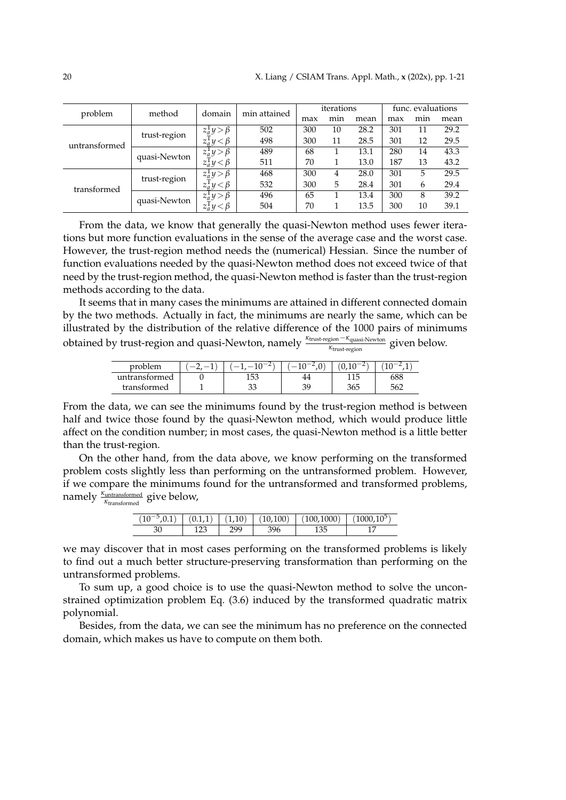|               | problem<br>method |                                           | min attained | iterations |      |      | func. evaluations |      |      |
|---------------|-------------------|-------------------------------------------|--------------|------------|------|------|-------------------|------|------|
|               |                   | domain                                    | max          | min        | mean | max  | min               | mean |      |
|               | trust-region      | $z_{\underline{a}}^{\mathrm{T}}y > \beta$ | 502          | 300        | 10   | 28.2 | 301               | 11   | 29.2 |
| untransformed |                   | $z_a^{\mathbf{i}}y < \beta$               | 498          | 300        | 11   | 28.5 | 301               | 12   | 29.5 |
|               | quasi-Newton      | $z_a^1 y > \beta$                         | 489          | 68         |      | 13.1 | 280               | 14   | 43.3 |
|               |                   | $z_a^{\mathsf{T}} y < \beta$              | 511          | 70         |      | 13.0 | 187               | 13   | 43.2 |
| transformed   | trust-region      | $z_a^1 y > \beta$                         | 468          | 300        | 4    | 28.0 | 301               | 5    | 29.5 |
|               |                   | $z_a^{\mathbf{i}} y < \beta$              | 532          | 300        | 5    | 28.4 | 301               | 6    | 29.4 |
|               | quasi-Newton      | $z_a^1 y > \beta$                         | 496          | 65         |      | 13.4 | 300               | 8    | 39.2 |
|               |                   | $z_a^{\mathfrak{t}} y < \beta$            | 504          | 70         |      | 13.5 | 300               | 10   | 39.1 |

From the data, we know that generally the quasi-Newton method uses fewer iterations but more function evaluations in the sense of the average case and the worst case. However, the trust-region method needs the (numerical) Hessian. Since the number of function evaluations needed by the quasi-Newton method does not exceed twice of that need by the trust-region method, the quasi-Newton method is faster than the trust-region methods according to the data.

It seems that in many cases the minimums are attained in different connected domain by the two methods. Actually in fact, the minimums are nearly the same, which can be illustrated by the distribution of the relative difference of the 1000 pairs of minimums obtained by trust-region and quasi-Newton, namely <sup>*κ*trust-region<sup>-*κ*</sup>quasi-Newton</sup> given below.

| problem       | $\sim$<br>ΙU | ں ، |     |     |
|---------------|--------------|-----|-----|-----|
| untransformed | 153          |     | 115 |     |
| transformed   | ົາ<br>ЭJ     |     | 365 | 562 |

From the data, we can see the minimums found by the trust-region method is between half and twice those found by the quasi-Newton method, which would produce little affect on the condition number; in most cases, the quasi-Newton method is a little better than the trust-region.

On the other hand, from the data above, we know performing on the transformed problem costs slightly less than performing on the untransformed problem. However, if we compare the minimums found for the untransformed and transformed problems, namely  $\frac{\kappa_{\text{untransformed}}}{\kappa_{\text{transformed}}}$  give below,

|  |     | $(10^{-5},0.1)$ $(0.1,1)$ $(1,10)$ $(10,100)$ $(100,1000)$ | $(1000, 10^{5})$ |
|--|-----|------------------------------------------------------------|------------------|
|  | caq |                                                            |                  |

we may discover that in most cases performing on the transformed problems is likely to find out a much better structure-preserving transformation than performing on the untransformed problems.

To sum up, a good choice is to use the quasi-Newton method to solve the unconstrained optimization problem Eq. (3.6) induced by the transformed quadratic matrix polynomial.

Besides, from the data, we can see the minimum has no preference on the connected domain, which makes us have to compute on them both.